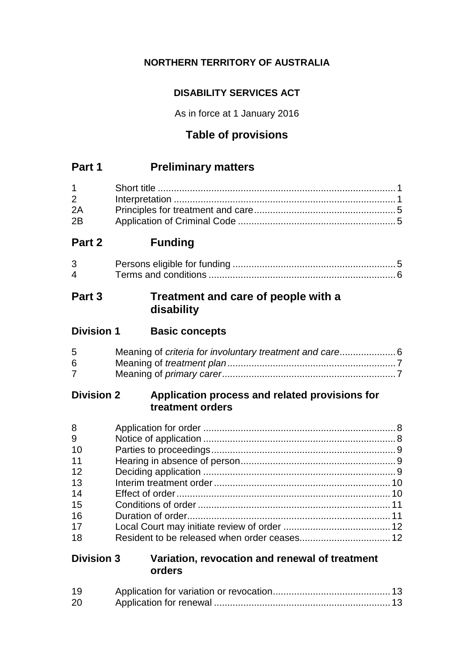# **NORTHERN TERRITORY OF AUSTRALIA**

# **DISABILITY SERVICES ACT**

As in force at 1 January 2016

# **Table of provisions**

# **Part 1 Preliminary matters**

| $2 \left( \frac{1}{2} \right)$ |  |
|--------------------------------|--|
| 2A                             |  |
| 2B                             |  |

# **Part 2 Funding**

| 3 <sup>1</sup> |  |
|----------------|--|
| $\mathbf 4$    |  |

# **Part 3 Treatment and care of people with a disability**

| <b>Division 1</b> | <b>Basic concepts</b> |
|-------------------|-----------------------|
|-------------------|-----------------------|

| 5 |  |
|---|--|
| 6 |  |
|   |  |

### **Division 2 Application process and related provisions for treatment orders**

| 8  |  |
|----|--|
| 9  |  |
| 10 |  |
| 11 |  |
| 12 |  |
| 13 |  |
| 14 |  |
| 15 |  |
| 16 |  |
| 17 |  |
| 18 |  |

### **Division 3 Variation, revocation and renewal of treatment orders**

| 19 |  |
|----|--|
| 20 |  |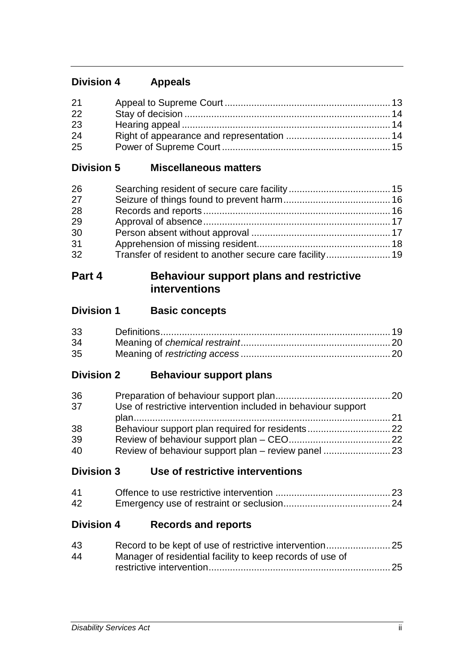# **Division 4 Appeals**

| 21 |  |
|----|--|
| 22 |  |
| 23 |  |
| 24 |  |
| 25 |  |

### **Division 5 Miscellaneous matters**

| 26 |  |
|----|--|
| 27 |  |
| 28 |  |
| 29 |  |
| 30 |  |
| 31 |  |
| 32 |  |

# **Part 4 Behaviour support plans and restrictive interventions**

# **Division 1 Basic concepts**

| 33 |  |
|----|--|
| 34 |  |
| 35 |  |

# **Division 2 Behaviour support plans**

| 36 |                                                               |  |
|----|---------------------------------------------------------------|--|
| 37 | Use of restrictive intervention included in behaviour support |  |
|    |                                                               |  |
| 38 |                                                               |  |
| 39 |                                                               |  |
| 40 |                                                               |  |

**Division 3 Use of restrictive interventions**

| 41 |  |
|----|--|
| 42 |  |

# **Division 4 Records and reports**

| Manager of residential facility to keep records of use of |  |
|-----------------------------------------------------------|--|
|                                                           |  |
|                                                           |  |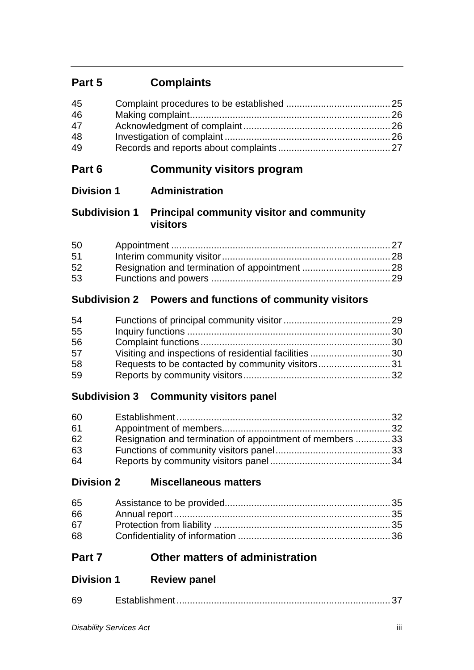# **Part 5 Complaints**

| 45 |  |
|----|--|
| 46 |  |
| 47 |  |
| 48 |  |
| 49 |  |

# **Part 6 Community visitors program**

# **Division 1 Administration**

### **Subdivision 1 Principal community visitor and community visitors**

| 50 |  |
|----|--|
| 51 |  |
| 52 |  |
| 53 |  |

# **Subdivision 2 Powers and functions of community visitors**

| 54 |  |
|----|--|
| 55 |  |
| 56 |  |
| 57 |  |
| 58 |  |
| 59 |  |

# **Subdivision 3 Community visitors panel**

| 60 |                                                          |  |
|----|----------------------------------------------------------|--|
| 61 |                                                          |  |
| 62 | Resignation and termination of appointment of members 33 |  |
| 63 |                                                          |  |
| 64 |                                                          |  |

# **Division 2 Miscellaneous matters**

| 65 |  |
|----|--|
| 66 |  |
| 67 |  |
| 68 |  |

# **Part 7 Other matters of administration**

# **Division 1 Review panel**

| 69 |  |
|----|--|
|    |  |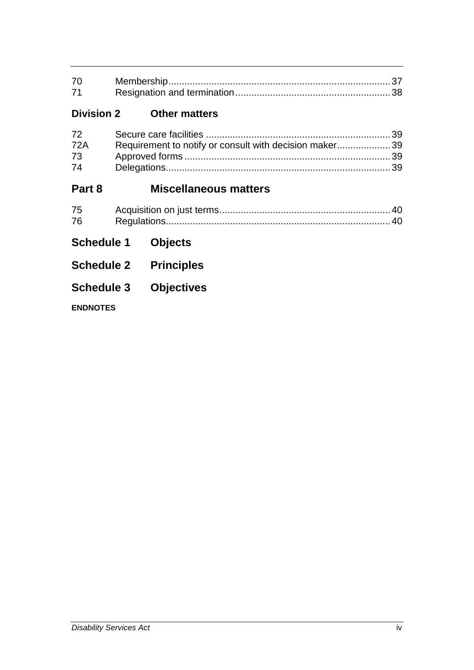| 70 |  |
|----|--|
| 71 |  |

# **Division 2 Other matters**

| 72         |                                                        |  |
|------------|--------------------------------------------------------|--|
| <b>72A</b> | Requirement to notify or consult with decision maker39 |  |
| 73         |                                                        |  |
| 74         |                                                        |  |

# **Part 8 Miscellaneous matters**

| 75 |  |
|----|--|
| 76 |  |

- **Schedule 1 Objects**
- **Schedule 2 Principles**
- **Schedule 3 Objectives**

**ENDNOTES**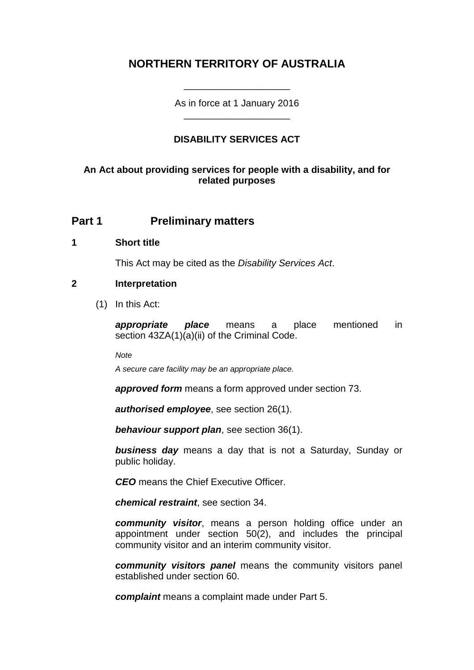# **NORTHERN TERRITORY OF AUSTRALIA**

As in force at 1 January 2016 \_\_\_\_\_\_\_\_\_\_\_\_\_\_\_\_\_\_\_\_

\_\_\_\_\_\_\_\_\_\_\_\_\_\_\_\_\_\_\_\_

### **DISABILITY SERVICES ACT**

#### **An Act about providing services for people with a disability, and for related purposes**

### **Part 1 Preliminary matters**

#### **1 Short title**

This Act may be cited as the *Disability Services Act*.

#### **2 Interpretation**

(1) In this Act:

*appropriate place* means a place mentioned in section 43ZA(1)(a)(ii) of the Criminal Code.

*Note*

*A secure care facility may be an appropriate place.*

*approved form* means a form approved under section 73.

*authorised employee*, see section 26(1).

*behaviour support plan*, see section 36(1).

*business day* means a day that is not a Saturday, Sunday or public holiday.

*CEO* means the Chief Executive Officer.

*chemical restraint*, see section 34.

*community visitor*, means a person holding office under an appointment under section 50(2), and includes the principal community visitor and an interim community visitor.

*community visitors panel* means the community visitors panel established under section 60.

*complaint* means a complaint made under Part 5.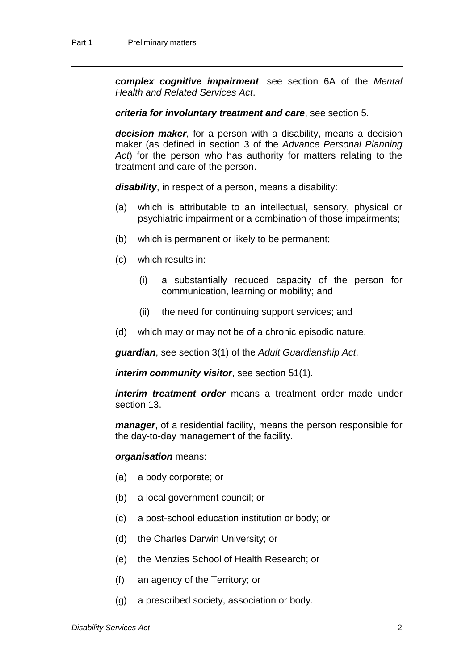*complex cognitive impairment*, see section 6A of the *Mental Health and Related Services Act*.

*criteria for involuntary treatment and care*, see section 5.

*decision maker*, for a person with a disability, means a decision maker (as defined in section 3 of the *Advance Personal Planning Act*) for the person who has authority for matters relating to the treatment and care of the person.

*disability*, in respect of a person, means a disability:

- (a) which is attributable to an intellectual, sensory, physical or psychiatric impairment or a combination of those impairments;
- (b) which is permanent or likely to be permanent;
- (c) which results in:
	- (i) a substantially reduced capacity of the person for communication, learning or mobility; and
	- (ii) the need for continuing support services; and
- (d) which may or may not be of a chronic episodic nature.

*guardian*, see section 3(1) of the *Adult Guardianship Act*.

*interim community visitor*, see section 51(1).

*interim treatment order* means a treatment order made under section 13.

*manager*, of a residential facility, means the person responsible for the day-to-day management of the facility.

#### *organisation* means:

- (a) a body corporate; or
- (b) a local government council; or
- (c) a post-school education institution or body; or
- (d) the Charles Darwin University; or
- (e) the Menzies School of Health Research; or
- (f) an agency of the Territory; or
- (g) a prescribed society, association or body.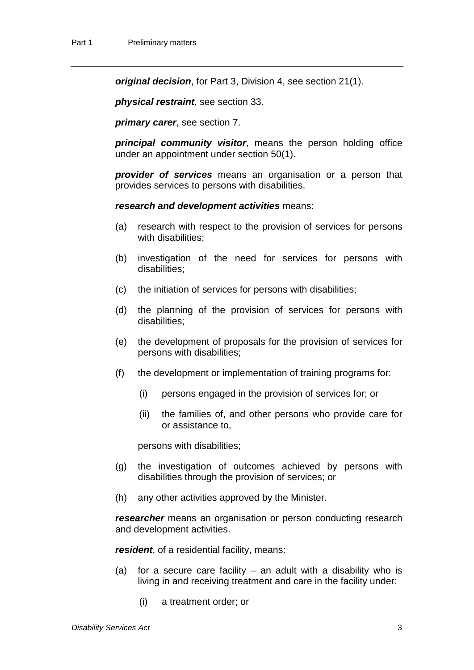*original decision*, for Part 3, Division 4, see section 21(1).

*physical restraint*, see section 33.

*primary carer*, see section 7.

*principal community visitor*, means the person holding office under an appointment under section 50(1).

*provider of services* means an organisation or a person that provides services to persons with disabilities.

*research and development activities* means:

- (a) research with respect to the provision of services for persons with disabilities:
- (b) investigation of the need for services for persons with disabilities;
- (c) the initiation of services for persons with disabilities;
- (d) the planning of the provision of services for persons with disabilities;
- (e) the development of proposals for the provision of services for persons with disabilities;
- (f) the development or implementation of training programs for:
	- (i) persons engaged in the provision of services for; or
	- (ii) the families of, and other persons who provide care for or assistance to,

persons with disabilities;

- (g) the investigation of outcomes achieved by persons with disabilities through the provision of services; or
- (h) any other activities approved by the Minister.

*researcher* means an organisation or person conducting research and development activities.

*resident*, of a residential facility, means:

- (a) for a secure care facility an adult with a disability who is living in and receiving treatment and care in the facility under:
	- (i) a treatment order; or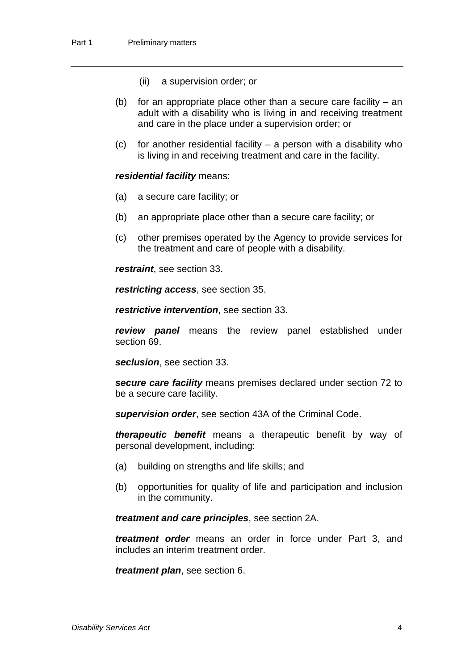- (ii) a supervision order; or
- (b) for an appropriate place other than a secure care facility  $-$  an adult with a disability who is living in and receiving treatment and care in the place under a supervision order; or
- $(c)$  for another residential facility a person with a disability who is living in and receiving treatment and care in the facility.

#### *residential facility* means:

- (a) a secure care facility; or
- (b) an appropriate place other than a secure care facility; or
- (c) other premises operated by the Agency to provide services for the treatment and care of people with a disability.

*restraint*, see section 33.

*restricting access*, see section 35.

*restrictive intervention*, see section 33.

*review panel* means the review panel established under section 69.

*seclusion*, see section 33.

*secure care facility* means premises declared under section 72 to be a secure care facility.

*supervision order*, see section 43A of the Criminal Code.

*therapeutic benefit* means a therapeutic benefit by way of personal development, including:

- (a) building on strengths and life skills; and
- (b) opportunities for quality of life and participation and inclusion in the community.

*treatment and care principles*, see section 2A.

*treatment order* means an order in force under Part 3, and includes an interim treatment order.

*treatment plan*, see section 6.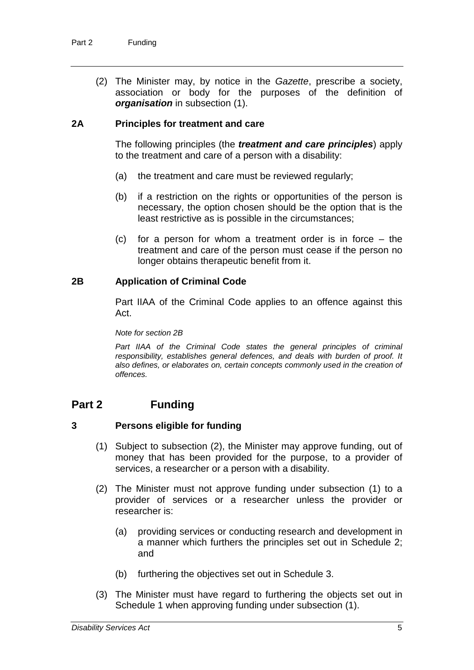(2) The Minister may, by notice in the *Gazette*, prescribe a society, association or body for the purposes of the definition of *organisation* in subsection (1).

### **2A Principles for treatment and care**

The following principles (the *treatment and care principles*) apply to the treatment and care of a person with a disability:

- (a) the treatment and care must be reviewed regularly;
- (b) if a restriction on the rights or opportunities of the person is necessary, the option chosen should be the option that is the least restrictive as is possible in the circumstances;
- (c) for a person for whom a treatment order is in force the treatment and care of the person must cease if the person no longer obtains therapeutic benefit from it.

#### **2B Application of Criminal Code**

Part IIAA of the Criminal Code applies to an offence against this Act.

*Note for section 2B*

Part IIAA of the Criminal Code states the general principles of criminal *responsibility, establishes general defences, and deals with burden of proof. It also defines, or elaborates on, certain concepts commonly used in the creation of offences.*

# **Part 2 Funding**

#### **3 Persons eligible for funding**

- (1) Subject to subsection (2), the Minister may approve funding, out of money that has been provided for the purpose, to a provider of services, a researcher or a person with a disability.
- (2) The Minister must not approve funding under subsection (1) to a provider of services or a researcher unless the provider or researcher is:
	- (a) providing services or conducting research and development in a manner which furthers the principles set out in Schedule 2; and
	- (b) furthering the objectives set out in Schedule 3.
- (3) The Minister must have regard to furthering the objects set out in Schedule 1 when approving funding under subsection (1).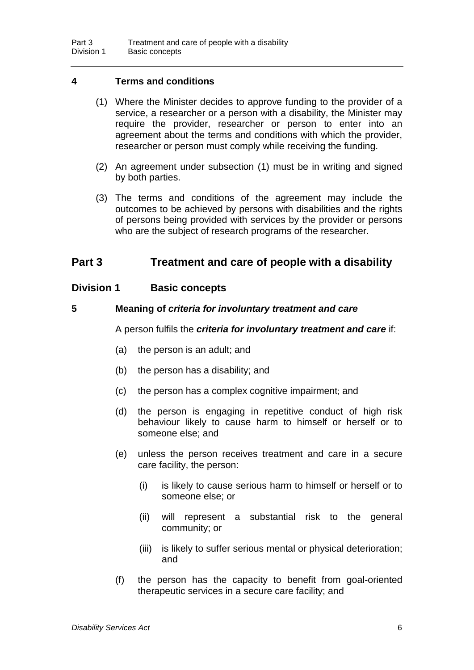### **4 Terms and conditions**

- (1) Where the Minister decides to approve funding to the provider of a service, a researcher or a person with a disability, the Minister may require the provider, researcher or person to enter into an agreement about the terms and conditions with which the provider, researcher or person must comply while receiving the funding.
- (2) An agreement under subsection (1) must be in writing and signed by both parties.
- (3) The terms and conditions of the agreement may include the outcomes to be achieved by persons with disabilities and the rights of persons being provided with services by the provider or persons who are the subject of research programs of the researcher.

### **Part 3 Treatment and care of people with a disability**

### **Division 1 Basic concepts**

#### **5 Meaning of** *criteria for involuntary treatment and care*

A person fulfils the *criteria for involuntary treatment and care* if:

- (a) the person is an adult; and
- (b) the person has a disability; and
- (c) the person has a complex cognitive impairment; and
- (d) the person is engaging in repetitive conduct of high risk behaviour likely to cause harm to himself or herself or to someone else; and
- (e) unless the person receives treatment and care in a secure care facility, the person:
	- (i) is likely to cause serious harm to himself or herself or to someone else; or
	- (ii) will represent a substantial risk to the general community; or
	- (iii) is likely to suffer serious mental or physical deterioration; and
- (f) the person has the capacity to benefit from goal-oriented therapeutic services in a secure care facility; and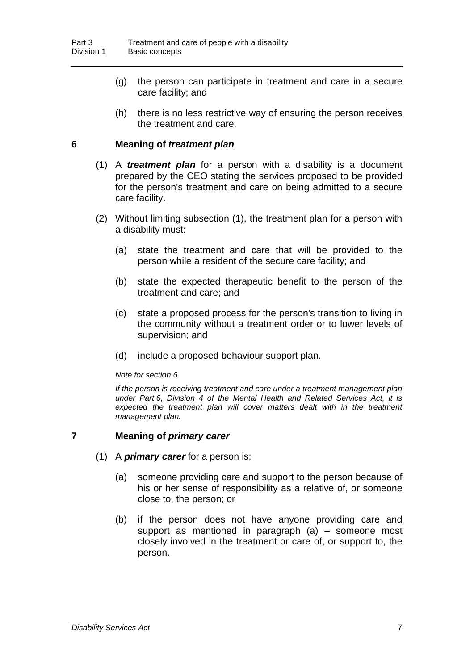- (g) the person can participate in treatment and care in a secure care facility; and
- (h) there is no less restrictive way of ensuring the person receives the treatment and care.

#### **6 Meaning of** *treatment plan*

- (1) A *treatment plan* for a person with a disability is a document prepared by the CEO stating the services proposed to be provided for the person's treatment and care on being admitted to a secure care facility.
- (2) Without limiting subsection (1), the treatment plan for a person with a disability must:
	- (a) state the treatment and care that will be provided to the person while a resident of the secure care facility; and
	- (b) state the expected therapeutic benefit to the person of the treatment and care; and
	- (c) state a proposed process for the person's transition to living in the community without a treatment order or to lower levels of supervision; and
	- (d) include a proposed behaviour support plan.

#### *Note for section 6*

*If the person is receiving treatment and care under a treatment management plan under Part 6, Division 4 of the Mental Health and Related Services Act, it is expected the treatment plan will cover matters dealt with in the treatment management plan.*

#### **7 Meaning of** *primary carer*

- (1) A *primary carer* for a person is:
	- (a) someone providing care and support to the person because of his or her sense of responsibility as a relative of, or someone close to, the person; or
	- (b) if the person does not have anyone providing care and support as mentioned in paragraph (a) – someone most closely involved in the treatment or care of, or support to, the person.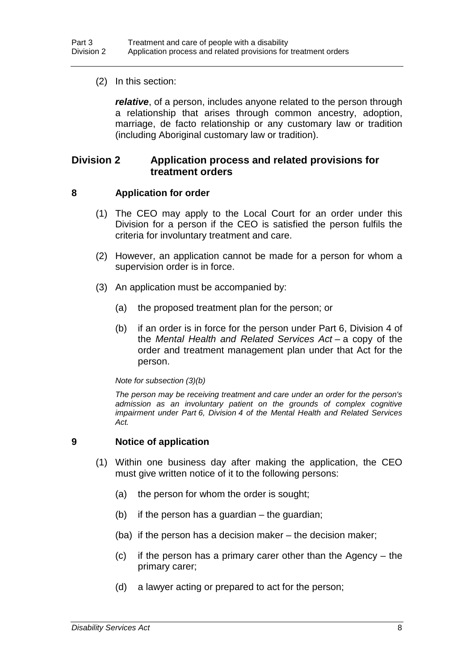(2) In this section:

*relative*, of a person, includes anyone related to the person through a relationship that arises through common ancestry, adoption, marriage, de facto relationship or any customary law or tradition (including Aboriginal customary law or tradition).

### **Division 2 Application process and related provisions for treatment orders**

#### **8 Application for order**

- (1) The CEO may apply to the Local Court for an order under this Division for a person if the CEO is satisfied the person fulfils the criteria for involuntary treatment and care.
- (2) However, an application cannot be made for a person for whom a supervision order is in force.
- (3) An application must be accompanied by:
	- (a) the proposed treatment plan for the person; or
	- (b) if an order is in force for the person under Part 6, Division 4 of the *Mental Health and Related Services Act* – a copy of the order and treatment management plan under that Act for the person.

#### *Note for subsection (3)(b)*

*The person may be receiving treatment and care under an order for the person's admission as an involuntary patient on the grounds of complex cognitive impairment under Part 6, Division 4 of the Mental Health and Related Services Act.*

#### **9 Notice of application**

- (1) Within one business day after making the application, the CEO must give written notice of it to the following persons:
	- (a) the person for whom the order is sought;
	- (b) if the person has a guardian the guardian;
	- (ba) if the person has a decision maker the decision maker;
	- (c) if the person has a primary carer other than the Agency the primary carer;
	- (d) a lawyer acting or prepared to act for the person;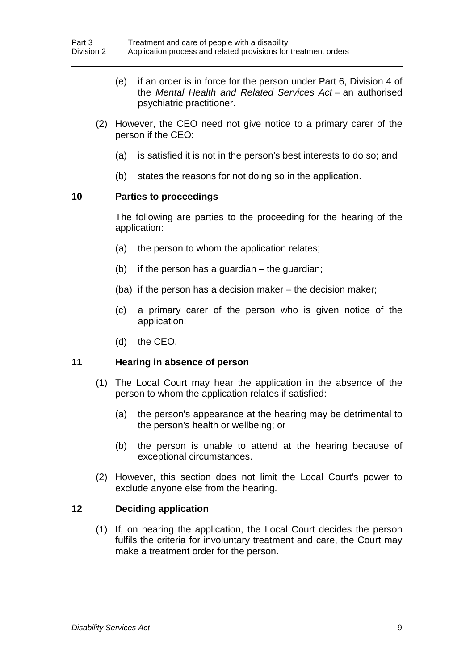- (e) if an order is in force for the person under Part 6, Division 4 of the *Mental Health and Related Services Act* – an authorised psychiatric practitioner.
- (2) However, the CEO need not give notice to a primary carer of the person if the CEO:
	- (a) is satisfied it is not in the person's best interests to do so; and
	- (b) states the reasons for not doing so in the application.

#### **10 Parties to proceedings**

The following are parties to the proceeding for the hearing of the application:

- (a) the person to whom the application relates;
- (b) if the person has a guardian the guardian;
- (ba) if the person has a decision maker the decision maker;
- (c) a primary carer of the person who is given notice of the application;
- (d) the CEO.

#### **11 Hearing in absence of person**

- (1) The Local Court may hear the application in the absence of the person to whom the application relates if satisfied:
	- (a) the person's appearance at the hearing may be detrimental to the person's health or wellbeing; or
	- (b) the person is unable to attend at the hearing because of exceptional circumstances.
- (2) However, this section does not limit the Local Court's power to exclude anyone else from the hearing.

#### **12 Deciding application**

(1) If, on hearing the application, the Local Court decides the person fulfils the criteria for involuntary treatment and care, the Court may make a treatment order for the person.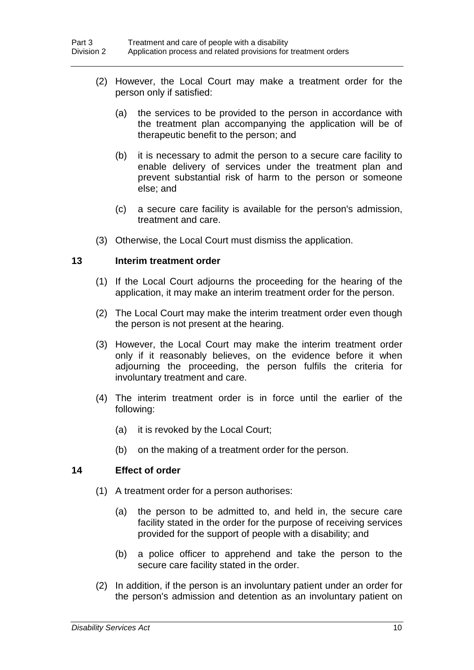- (2) However, the Local Court may make a treatment order for the person only if satisfied:
	- (a) the services to be provided to the person in accordance with the treatment plan accompanying the application will be of therapeutic benefit to the person; and
	- (b) it is necessary to admit the person to a secure care facility to enable delivery of services under the treatment plan and prevent substantial risk of harm to the person or someone else; and
	- (c) a secure care facility is available for the person's admission, treatment and care.
- (3) Otherwise, the Local Court must dismiss the application.

#### **13 Interim treatment order**

- (1) If the Local Court adjourns the proceeding for the hearing of the application, it may make an interim treatment order for the person.
- (2) The Local Court may make the interim treatment order even though the person is not present at the hearing.
- (3) However, the Local Court may make the interim treatment order only if it reasonably believes, on the evidence before it when adjourning the proceeding, the person fulfils the criteria for involuntary treatment and care.
- (4) The interim treatment order is in force until the earlier of the following:
	- (a) it is revoked by the Local Court;
	- (b) on the making of a treatment order for the person.

#### **14 Effect of order**

- (1) A treatment order for a person authorises:
	- (a) the person to be admitted to, and held in, the secure care facility stated in the order for the purpose of receiving services provided for the support of people with a disability; and
	- (b) a police officer to apprehend and take the person to the secure care facility stated in the order.
- (2) In addition, if the person is an involuntary patient under an order for the person's admission and detention as an involuntary patient on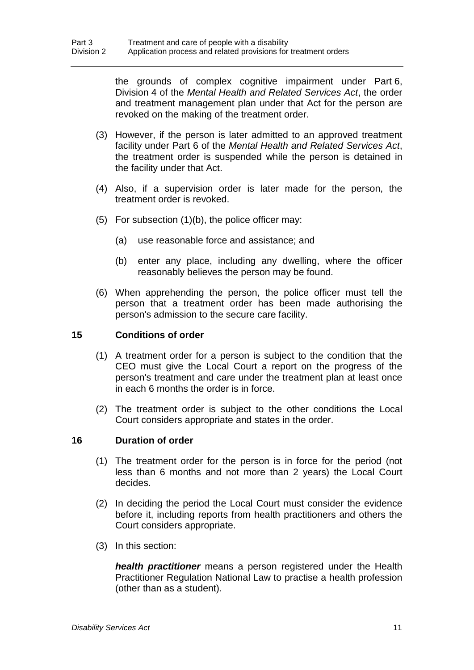the grounds of complex cognitive impairment under Part 6, Division 4 of the *Mental Health and Related Services Act*, the order and treatment management plan under that Act for the person are revoked on the making of the treatment order.

- (3) However, if the person is later admitted to an approved treatment facility under Part 6 of the *Mental Health and Related Services Act*, the treatment order is suspended while the person is detained in the facility under that Act.
- (4) Also, if a supervision order is later made for the person, the treatment order is revoked.
- (5) For subsection  $(1)(b)$ , the police officer may:
	- (a) use reasonable force and assistance; and
	- (b) enter any place, including any dwelling, where the officer reasonably believes the person may be found.
- (6) When apprehending the person, the police officer must tell the person that a treatment order has been made authorising the person's admission to the secure care facility.

### **15 Conditions of order**

- (1) A treatment order for a person is subject to the condition that the CEO must give the Local Court a report on the progress of the person's treatment and care under the treatment plan at least once in each 6 months the order is in force.
- (2) The treatment order is subject to the other conditions the Local Court considers appropriate and states in the order.

#### **16 Duration of order**

- (1) The treatment order for the person is in force for the period (not less than 6 months and not more than 2 years) the Local Court decides.
- (2) In deciding the period the Local Court must consider the evidence before it, including reports from health practitioners and others the Court considers appropriate.
- (3) In this section:

*health practitioner* means a person registered under the Health Practitioner Regulation National Law to practise a health profession (other than as a student).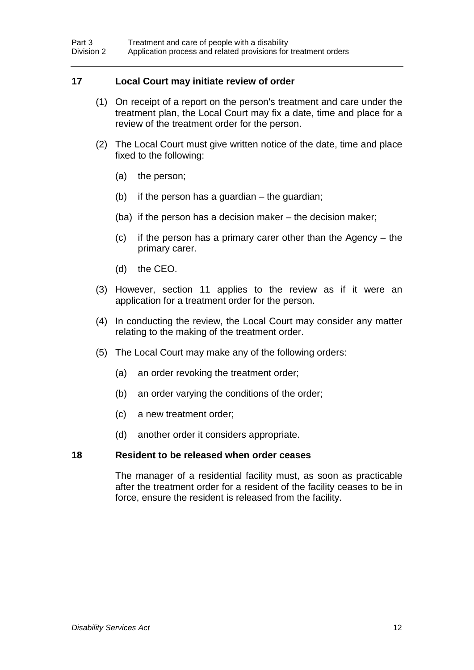#### **17 Local Court may initiate review of order**

- (1) On receipt of a report on the person's treatment and care under the treatment plan, the Local Court may fix a date, time and place for a review of the treatment order for the person.
- (2) The Local Court must give written notice of the date, time and place fixed to the following:
	- (a) the person;
	- (b) if the person has a guardian  $-$  the guardian;
	- (ba) if the person has a decision maker the decision maker;
	- (c) if the person has a primary carer other than the Agency the primary carer.
	- (d) the CEO.
- (3) However, section 11 applies to the review as if it were an application for a treatment order for the person.
- (4) In conducting the review, the Local Court may consider any matter relating to the making of the treatment order.
- (5) The Local Court may make any of the following orders:
	- (a) an order revoking the treatment order;
	- (b) an order varying the conditions of the order;
	- (c) a new treatment order;
	- (d) another order it considers appropriate.

#### **18 Resident to be released when order ceases**

The manager of a residential facility must, as soon as practicable after the treatment order for a resident of the facility ceases to be in force, ensure the resident is released from the facility.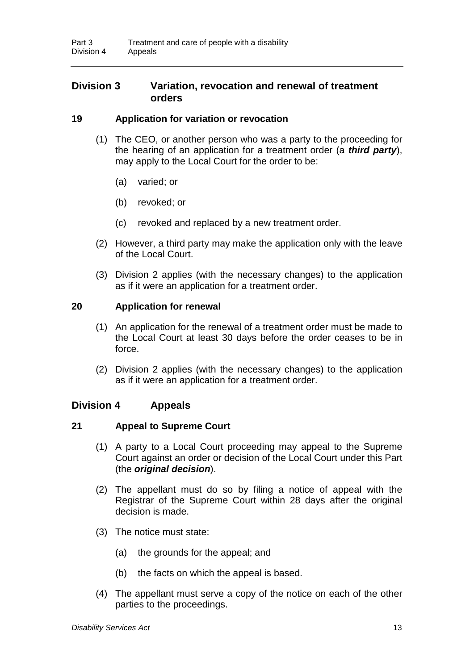### **Division 3 Variation, revocation and renewal of treatment orders**

#### **19 Application for variation or revocation**

- (1) The CEO, or another person who was a party to the proceeding for the hearing of an application for a treatment order (a *third party*), may apply to the Local Court for the order to be:
	- (a) varied; or
	- (b) revoked; or
	- (c) revoked and replaced by a new treatment order.
- (2) However, a third party may make the application only with the leave of the Local Court.
- (3) Division 2 applies (with the necessary changes) to the application as if it were an application for a treatment order.

#### **20 Application for renewal**

- (1) An application for the renewal of a treatment order must be made to the Local Court at least 30 days before the order ceases to be in force.
- (2) Division 2 applies (with the necessary changes) to the application as if it were an application for a treatment order.

#### **Division 4 Appeals**

#### **21 Appeal to Supreme Court**

- (1) A party to a Local Court proceeding may appeal to the Supreme Court against an order or decision of the Local Court under this Part (the *original decision*).
- (2) The appellant must do so by filing a notice of appeal with the Registrar of the Supreme Court within 28 days after the original decision is made.
- (3) The notice must state:
	- (a) the grounds for the appeal; and
	- (b) the facts on which the appeal is based.
- (4) The appellant must serve a copy of the notice on each of the other parties to the proceedings.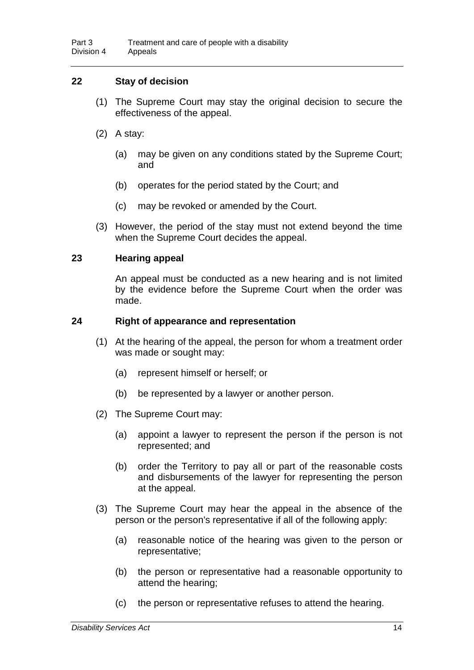### **22 Stay of decision**

- (1) The Supreme Court may stay the original decision to secure the effectiveness of the appeal.
- (2) A stay:
	- (a) may be given on any conditions stated by the Supreme Court; and
	- (b) operates for the period stated by the Court; and
	- (c) may be revoked or amended by the Court.
- (3) However, the period of the stay must not extend beyond the time when the Supreme Court decides the appeal.

#### **23 Hearing appeal**

An appeal must be conducted as a new hearing and is not limited by the evidence before the Supreme Court when the order was made.

#### **24 Right of appearance and representation**

- (1) At the hearing of the appeal, the person for whom a treatment order was made or sought may:
	- (a) represent himself or herself; or
	- (b) be represented by a lawyer or another person.
- (2) The Supreme Court may:
	- (a) appoint a lawyer to represent the person if the person is not represented; and
	- (b) order the Territory to pay all or part of the reasonable costs and disbursements of the lawyer for representing the person at the appeal.
- (3) The Supreme Court may hear the appeal in the absence of the person or the person's representative if all of the following apply:
	- (a) reasonable notice of the hearing was given to the person or representative;
	- (b) the person or representative had a reasonable opportunity to attend the hearing;
	- (c) the person or representative refuses to attend the hearing.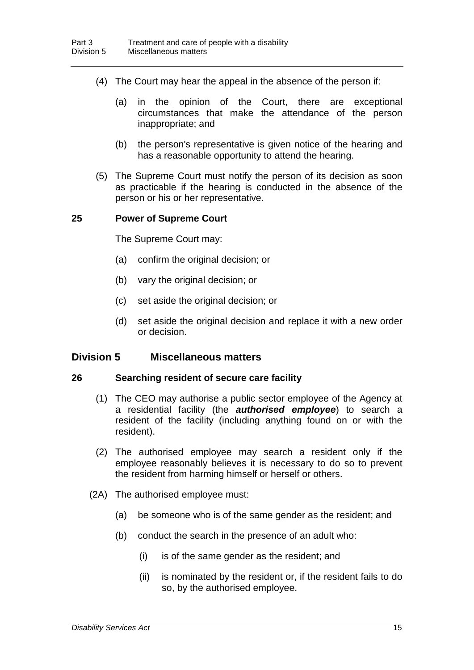- (4) The Court may hear the appeal in the absence of the person if:
	- (a) in the opinion of the Court, there are exceptional circumstances that make the attendance of the person inappropriate; and
	- (b) the person's representative is given notice of the hearing and has a reasonable opportunity to attend the hearing.
- (5) The Supreme Court must notify the person of its decision as soon as practicable if the hearing is conducted in the absence of the person or his or her representative.

#### **25 Power of Supreme Court**

The Supreme Court may:

- (a) confirm the original decision; or
- (b) vary the original decision; or
- (c) set aside the original decision; or
- (d) set aside the original decision and replace it with a new order or decision.

#### **Division 5 Miscellaneous matters**

#### **26 Searching resident of secure care facility**

- (1) The CEO may authorise a public sector employee of the Agency at a residential facility (the *authorised employee*) to search a resident of the facility (including anything found on or with the resident).
- (2) The authorised employee may search a resident only if the employee reasonably believes it is necessary to do so to prevent the resident from harming himself or herself or others.
- (2A) The authorised employee must:
	- (a) be someone who is of the same gender as the resident; and
	- (b) conduct the search in the presence of an adult who:
		- (i) is of the same gender as the resident; and
		- (ii) is nominated by the resident or, if the resident fails to do so, by the authorised employee.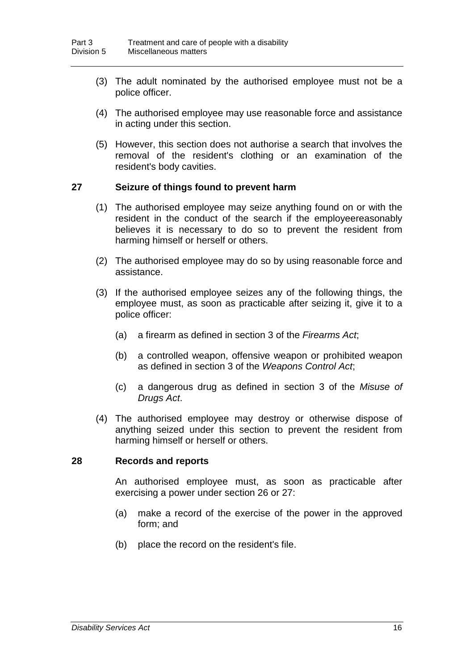- (3) The adult nominated by the authorised employee must not be a police officer.
- (4) The authorised employee may use reasonable force and assistance in acting under this section.
- (5) However, this section does not authorise a search that involves the removal of the resident's clothing or an examination of the resident's body cavities.

#### **27 Seizure of things found to prevent harm**

- (1) The authorised employee may seize anything found on or with the resident in the conduct of the search if the employeereasonably believes it is necessary to do so to prevent the resident from harming himself or herself or others.
- (2) The authorised employee may do so by using reasonable force and assistance.
- (3) If the authorised employee seizes any of the following things, the employee must, as soon as practicable after seizing it, give it to a police officer:
	- (a) a firearm as defined in section 3 of the *Firearms Act*;
	- (b) a controlled weapon, offensive weapon or prohibited weapon as defined in section 3 of the *Weapons Control Act*;
	- (c) a dangerous drug as defined in section 3 of the *Misuse of Drugs Act*.
- (4) The authorised employee may destroy or otherwise dispose of anything seized under this section to prevent the resident from harming himself or herself or others.

#### **28 Records and reports**

An authorised employee must, as soon as practicable after exercising a power under section 26 or 27:

- (a) make a record of the exercise of the power in the approved form; and
- (b) place the record on the resident's file.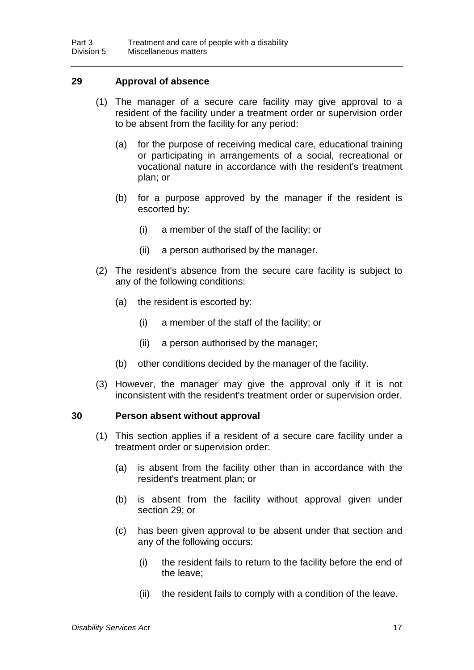#### **29 Approval of absence**

- (1) The manager of a secure care facility may give approval to a resident of the facility under a treatment order or supervision order to be absent from the facility for any period:
	- (a) for the purpose of receiving medical care, educational training or participating in arrangements of a social, recreational or vocational nature in accordance with the resident's treatment plan; or
	- (b) for a purpose approved by the manager if the resident is escorted by:
		- (i) a member of the staff of the facility; or
		- (ii) a person authorised by the manager.
- (2) The resident's absence from the secure care facility is subject to any of the following conditions:
	- (a) the resident is escorted by:
		- (i) a member of the staff of the facility; or
		- (ii) a person authorised by the manager;
	- (b) other conditions decided by the manager of the facility.
- (3) However, the manager may give the approval only if it is not inconsistent with the resident's treatment order or supervision order.

#### **30 Person absent without approval**

- (1) This section applies if a resident of a secure care facility under a treatment order or supervision order:
	- (a) is absent from the facility other than in accordance with the resident's treatment plan; or
	- (b) is absent from the facility without approval given under section 29; or
	- (c) has been given approval to be absent under that section and any of the following occurs:
		- (i) the resident fails to return to the facility before the end of the leave;
		- (ii) the resident fails to comply with a condition of the leave.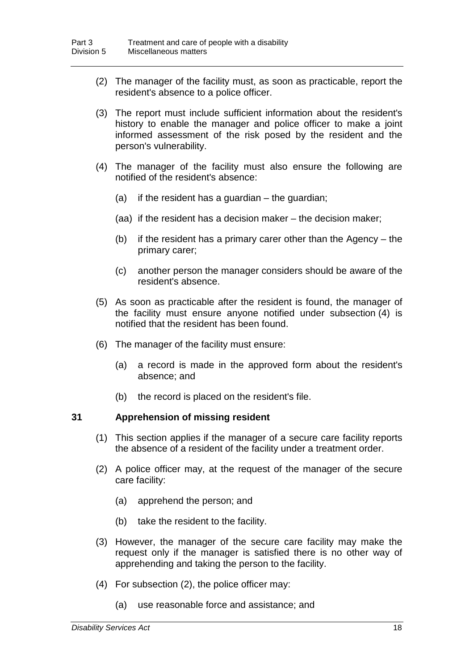- (2) The manager of the facility must, as soon as practicable, report the resident's absence to a police officer.
- (3) The report must include sufficient information about the resident's history to enable the manager and police officer to make a joint informed assessment of the risk posed by the resident and the person's vulnerability.
- (4) The manager of the facility must also ensure the following are notified of the resident's absence:
	- (a) if the resident has a guardian the guardian;
	- (aa) if the resident has a decision maker the decision maker;
	- (b) if the resident has a primary carer other than the Agency the primary carer;
	- (c) another person the manager considers should be aware of the resident's absence.
- (5) As soon as practicable after the resident is found, the manager of the facility must ensure anyone notified under subsection (4) is notified that the resident has been found.
- (6) The manager of the facility must ensure:
	- (a) a record is made in the approved form about the resident's absence; and
	- (b) the record is placed on the resident's file.

#### **31 Apprehension of missing resident**

- (1) This section applies if the manager of a secure care facility reports the absence of a resident of the facility under a treatment order.
- (2) A police officer may, at the request of the manager of the secure care facility:
	- (a) apprehend the person; and
	- (b) take the resident to the facility.
- (3) However, the manager of the secure care facility may make the request only if the manager is satisfied there is no other way of apprehending and taking the person to the facility.
- (4) For subsection (2), the police officer may:
	- (a) use reasonable force and assistance; and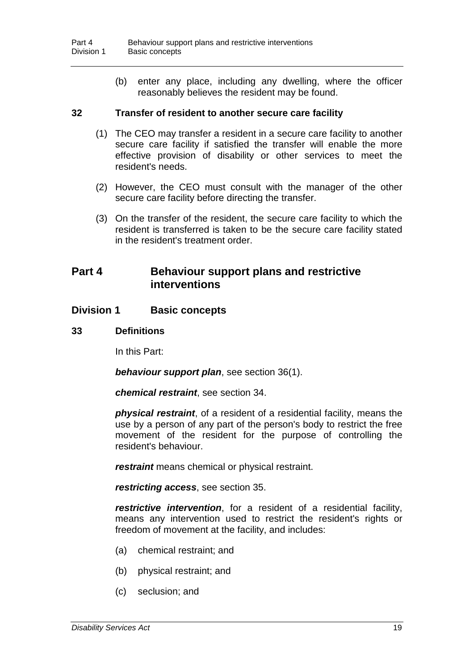(b) enter any place, including any dwelling, where the officer reasonably believes the resident may be found.

#### **32 Transfer of resident to another secure care facility**

- (1) The CEO may transfer a resident in a secure care facility to another secure care facility if satisfied the transfer will enable the more effective provision of disability or other services to meet the resident's needs.
- (2) However, the CEO must consult with the manager of the other secure care facility before directing the transfer.
- (3) On the transfer of the resident, the secure care facility to which the resident is transferred is taken to be the secure care facility stated in the resident's treatment order.

### **Part 4 Behaviour support plans and restrictive interventions**

#### **Division 1 Basic concepts**

#### **33 Definitions**

In this Part:

*behaviour support plan*, see section 36(1).

*chemical restraint*, see section 34.

*physical restraint*, of a resident of a residential facility, means the use by a person of any part of the person's body to restrict the free movement of the resident for the purpose of controlling the resident's behaviour.

*restraint* means chemical or physical restraint.

*restricting access*, see section 35.

*restrictive intervention*, for a resident of a residential facility, means any intervention used to restrict the resident's rights or freedom of movement at the facility, and includes:

- (a) chemical restraint; and
- (b) physical restraint; and
- (c) seclusion; and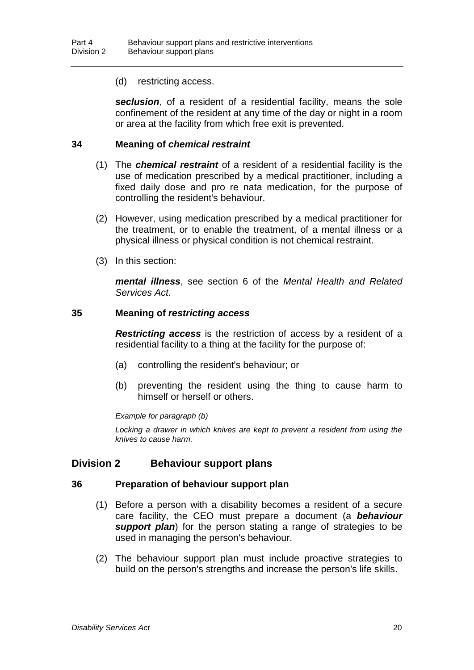(d) restricting access.

*seclusion*, of a resident of a residential facility, means the sole confinement of the resident at any time of the day or night in a room or area at the facility from which free exit is prevented.

#### **34 Meaning of** *chemical restraint*

- (1) The *chemical restraint* of a resident of a residential facility is the use of medication prescribed by a medical practitioner, including a fixed daily dose and pro re nata medication, for the purpose of controlling the resident's behaviour.
- (2) However, using medication prescribed by a medical practitioner for the treatment, or to enable the treatment, of a mental illness or a physical illness or physical condition is not chemical restraint.
- (3) In this section:

*mental illness*, see section 6 of the *Mental Health and Related Services Act*.

#### **35 Meaning of** *restricting access*

*Restricting access* is the restriction of access by a resident of a residential facility to a thing at the facility for the purpose of:

- (a) controlling the resident's behaviour; or
- (b) preventing the resident using the thing to cause harm to himself or herself or others.

#### *Example for paragraph (b)*

Locking a drawer in which knives are kept to prevent a resident from using the *knives to cause harm.*

### **Division 2 Behaviour support plans**

#### **36 Preparation of behaviour support plan**

- (1) Before a person with a disability becomes a resident of a secure care facility, the CEO must prepare a document (a *behaviour support plan*) for the person stating a range of strategies to be used in managing the person's behaviour.
- (2) The behaviour support plan must include proactive strategies to build on the person's strengths and increase the person's life skills.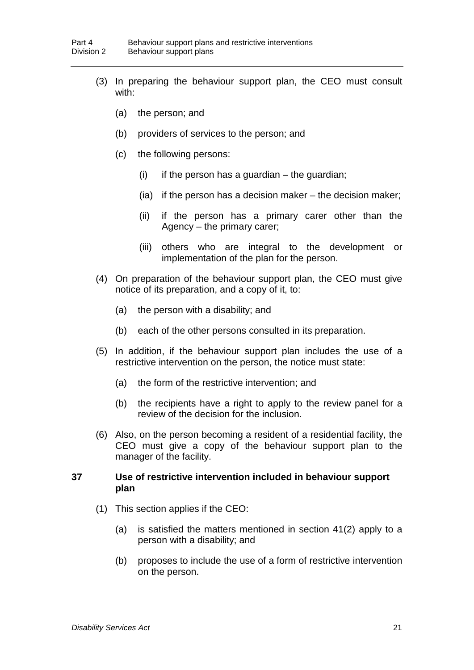- (3) In preparing the behaviour support plan, the CEO must consult with:
	- (a) the person; and
	- (b) providers of services to the person; and
	- (c) the following persons:
		- $(i)$  if the person has a guardian the guardian;
		- (ia) if the person has a decision maker the decision maker;
		- (ii) if the person has a primary carer other than the Agency – the primary carer;
		- (iii) others who are integral to the development or implementation of the plan for the person.
- (4) On preparation of the behaviour support plan, the CEO must give notice of its preparation, and a copy of it, to:
	- (a) the person with a disability; and
	- (b) each of the other persons consulted in its preparation.
- (5) In addition, if the behaviour support plan includes the use of a restrictive intervention on the person, the notice must state:
	- (a) the form of the restrictive intervention; and
	- (b) the recipients have a right to apply to the review panel for a review of the decision for the inclusion.
- (6) Also, on the person becoming a resident of a residential facility, the CEO must give a copy of the behaviour support plan to the manager of the facility.

#### **37 Use of restrictive intervention included in behaviour support plan**

- (1) This section applies if the CEO:
	- (a) is satisfied the matters mentioned in section 41(2) apply to a person with a disability; and
	- (b) proposes to include the use of a form of restrictive intervention on the person.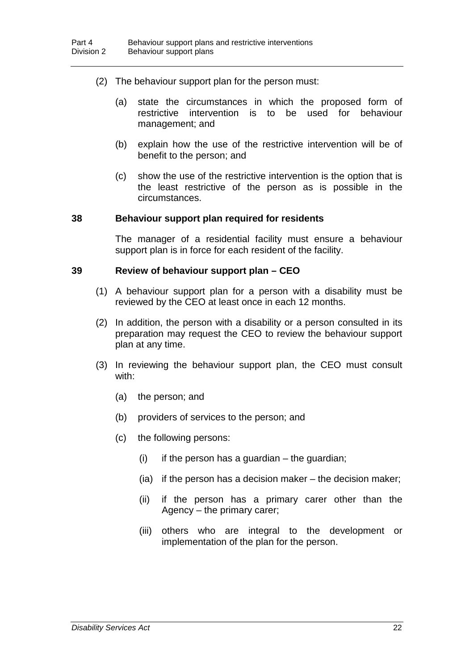- (2) The behaviour support plan for the person must:
	- (a) state the circumstances in which the proposed form of restrictive intervention is to be used for behaviour management; and
	- (b) explain how the use of the restrictive intervention will be of benefit to the person; and
	- (c) show the use of the restrictive intervention is the option that is the least restrictive of the person as is possible in the circumstances.

#### **38 Behaviour support plan required for residents**

The manager of a residential facility must ensure a behaviour support plan is in force for each resident of the facility.

#### **39 Review of behaviour support plan – CEO**

- (1) A behaviour support plan for a person with a disability must be reviewed by the CEO at least once in each 12 months.
- (2) In addition, the person with a disability or a person consulted in its preparation may request the CEO to review the behaviour support plan at any time.
- (3) In reviewing the behaviour support plan, the CEO must consult with:
	- (a) the person; and
	- (b) providers of services to the person; and
	- (c) the following persons:
		- $(i)$  if the person has a guardian the guardian;
		- (ia) if the person has a decision maker the decision maker;
		- (ii) if the person has a primary carer other than the Agency – the primary carer;
		- (iii) others who are integral to the development or implementation of the plan for the person.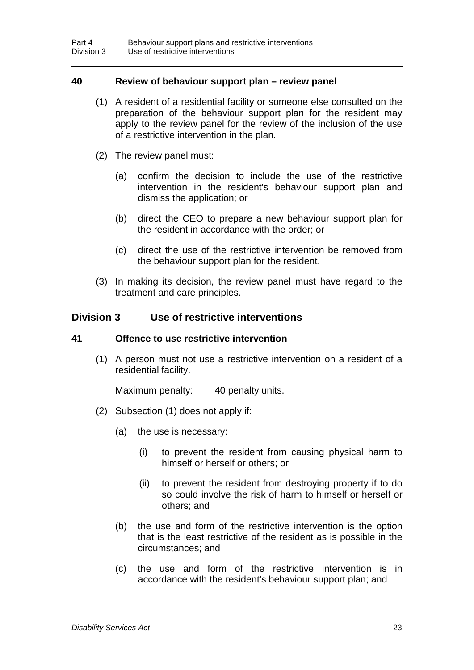#### **40 Review of behaviour support plan – review panel**

- (1) A resident of a residential facility or someone else consulted on the preparation of the behaviour support plan for the resident may apply to the review panel for the review of the inclusion of the use of a restrictive intervention in the plan.
- (2) The review panel must:
	- (a) confirm the decision to include the use of the restrictive intervention in the resident's behaviour support plan and dismiss the application; or
	- (b) direct the CEO to prepare a new behaviour support plan for the resident in accordance with the order; or
	- (c) direct the use of the restrictive intervention be removed from the behaviour support plan for the resident.
- (3) In making its decision, the review panel must have regard to the treatment and care principles.

#### **Division 3 Use of restrictive interventions**

#### **41 Offence to use restrictive intervention**

(1) A person must not use a restrictive intervention on a resident of a residential facility.

Maximum penalty: 40 penalty units.

- (2) Subsection (1) does not apply if:
	- (a) the use is necessary:
		- (i) to prevent the resident from causing physical harm to himself or herself or others; or
		- (ii) to prevent the resident from destroying property if to do so could involve the risk of harm to himself or herself or others; and
	- (b) the use and form of the restrictive intervention is the option that is the least restrictive of the resident as is possible in the circumstances; and
	- (c) the use and form of the restrictive intervention is in accordance with the resident's behaviour support plan; and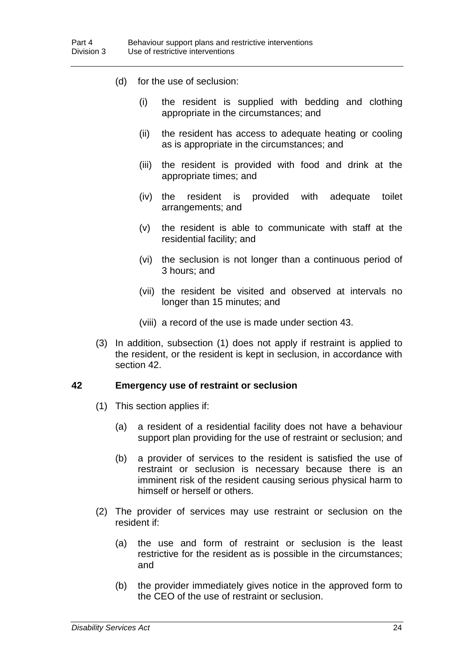- (d) for the use of seclusion:
	- (i) the resident is supplied with bedding and clothing appropriate in the circumstances; and
	- (ii) the resident has access to adequate heating or cooling as is appropriate in the circumstances; and
	- (iii) the resident is provided with food and drink at the appropriate times; and
	- (iv) the resident is provided with adequate toilet arrangements; and
	- (v) the resident is able to communicate with staff at the residential facility; and
	- (vi) the seclusion is not longer than a continuous period of 3 hours; and
	- (vii) the resident be visited and observed at intervals no longer than 15 minutes; and
	- (viii) a record of the use is made under section 43.
- (3) In addition, subsection (1) does not apply if restraint is applied to the resident, or the resident is kept in seclusion, in accordance with section 42.

#### **42 Emergency use of restraint or seclusion**

- (1) This section applies if:
	- (a) a resident of a residential facility does not have a behaviour support plan providing for the use of restraint or seclusion; and
	- (b) a provider of services to the resident is satisfied the use of restraint or seclusion is necessary because there is an imminent risk of the resident causing serious physical harm to himself or herself or others.
- (2) The provider of services may use restraint or seclusion on the resident if:
	- (a) the use and form of restraint or seclusion is the least restrictive for the resident as is possible in the circumstances; and
	- (b) the provider immediately gives notice in the approved form to the CEO of the use of restraint or seclusion.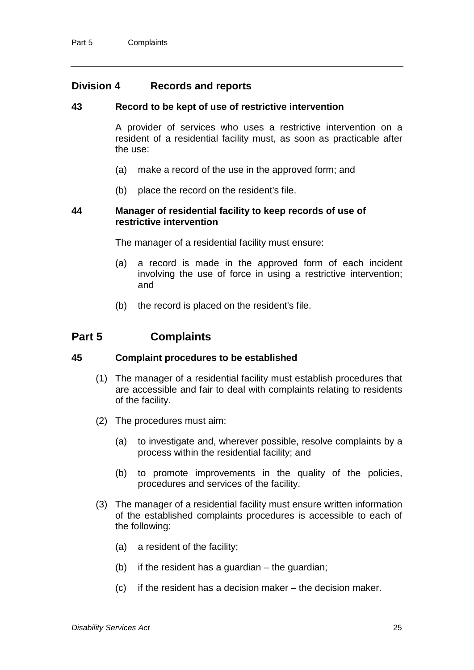### **Division 4 Records and reports**

#### **43 Record to be kept of use of restrictive intervention**

A provider of services who uses a restrictive intervention on a resident of a residential facility must, as soon as practicable after the use:

- (a) make a record of the use in the approved form; and
- (b) place the record on the resident's file.

#### **44 Manager of residential facility to keep records of use of restrictive intervention**

The manager of a residential facility must ensure:

- (a) a record is made in the approved form of each incident involving the use of force in using a restrictive intervention; and
- (b) the record is placed on the resident's file.

## **Part 5 Complaints**

#### **45 Complaint procedures to be established**

- (1) The manager of a residential facility must establish procedures that are accessible and fair to deal with complaints relating to residents of the facility.
- (2) The procedures must aim:
	- (a) to investigate and, wherever possible, resolve complaints by a process within the residential facility; and
	- (b) to promote improvements in the quality of the policies, procedures and services of the facility.
- (3) The manager of a residential facility must ensure written information of the established complaints procedures is accessible to each of the following:
	- (a) a resident of the facility;
	- (b) if the resident has a guardian the guardian;
	- (c) if the resident has a decision maker the decision maker.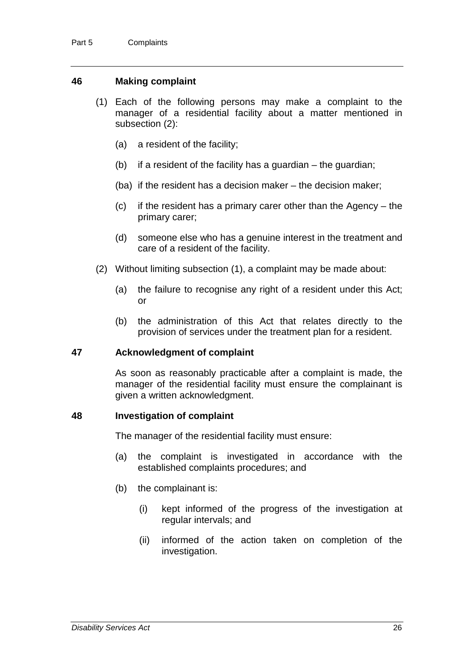#### **46 Making complaint**

- (1) Each of the following persons may make a complaint to the manager of a residential facility about a matter mentioned in subsection (2):
	- (a) a resident of the facility;
	- $(b)$  if a resident of the facility has a guardian the guardian;
	- (ba) if the resident has a decision maker the decision maker;
	- (c) if the resident has a primary carer other than the Agency the primary carer;
	- (d) someone else who has a genuine interest in the treatment and care of a resident of the facility.
- (2) Without limiting subsection (1), a complaint may be made about:
	- (a) the failure to recognise any right of a resident under this Act; or
	- (b) the administration of this Act that relates directly to the provision of services under the treatment plan for a resident.

#### **47 Acknowledgment of complaint**

As soon as reasonably practicable after a complaint is made, the manager of the residential facility must ensure the complainant is given a written acknowledgment.

#### **48 Investigation of complaint**

The manager of the residential facility must ensure:

- (a) the complaint is investigated in accordance with the established complaints procedures; and
- (b) the complainant is:
	- (i) kept informed of the progress of the investigation at regular intervals; and
	- (ii) informed of the action taken on completion of the investigation.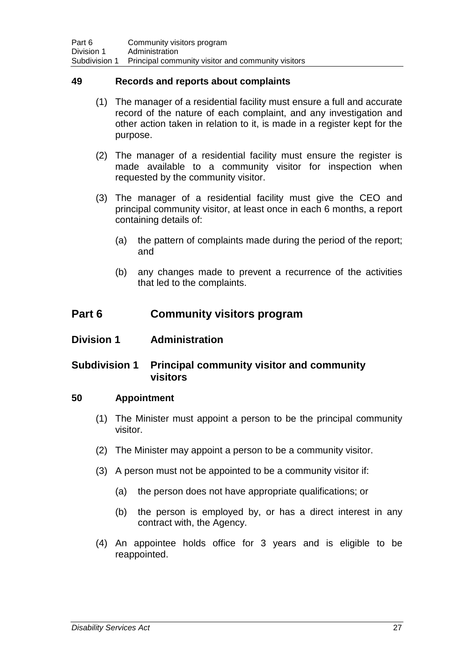#### **49 Records and reports about complaints**

- (1) The manager of a residential facility must ensure a full and accurate record of the nature of each complaint, and any investigation and other action taken in relation to it, is made in a register kept for the purpose.
- (2) The manager of a residential facility must ensure the register is made available to a community visitor for inspection when requested by the community visitor.
- (3) The manager of a residential facility must give the CEO and principal community visitor, at least once in each 6 months, a report containing details of:
	- (a) the pattern of complaints made during the period of the report; and
	- (b) any changes made to prevent a recurrence of the activities that led to the complaints.

## **Part 6 Community visitors program**

### **Division 1 Administration**

### **Subdivision 1 Principal community visitor and community visitors**

#### **50 Appointment**

- (1) The Minister must appoint a person to be the principal community visitor.
- (2) The Minister may appoint a person to be a community visitor.
- (3) A person must not be appointed to be a community visitor if:
	- (a) the person does not have appropriate qualifications; or
	- (b) the person is employed by, or has a direct interest in any contract with, the Agency.
- (4) An appointee holds office for 3 years and is eligible to be reappointed.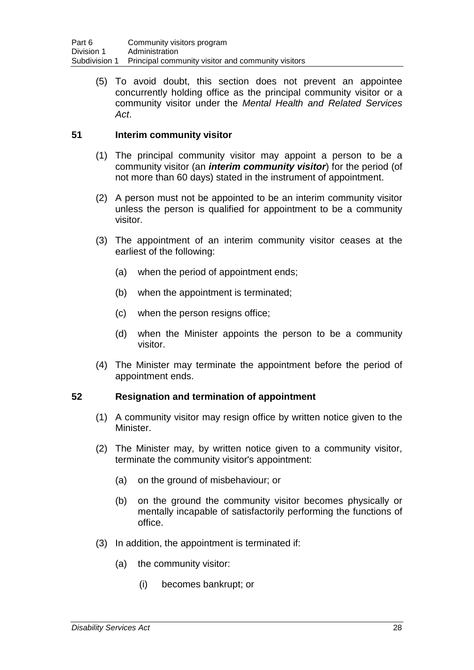(5) To avoid doubt, this section does not prevent an appointee concurrently holding office as the principal community visitor or a community visitor under the *Mental Health and Related Services Act*.

### **51 Interim community visitor**

- (1) The principal community visitor may appoint a person to be a community visitor (an *interim community visitor*) for the period (of not more than 60 days) stated in the instrument of appointment.
- (2) A person must not be appointed to be an interim community visitor unless the person is qualified for appointment to be a community visitor.
- (3) The appointment of an interim community visitor ceases at the earliest of the following:
	- (a) when the period of appointment ends;
	- (b) when the appointment is terminated;
	- (c) when the person resigns office;
	- (d) when the Minister appoints the person to be a community visitor.
- (4) The Minister may terminate the appointment before the period of appointment ends.

#### **52 Resignation and termination of appointment**

- (1) A community visitor may resign office by written notice given to the Minister.
- (2) The Minister may, by written notice given to a community visitor, terminate the community visitor's appointment:
	- (a) on the ground of misbehaviour; or
	- (b) on the ground the community visitor becomes physically or mentally incapable of satisfactorily performing the functions of office.
- (3) In addition, the appointment is terminated if:
	- (a) the community visitor:
		- (i) becomes bankrupt; or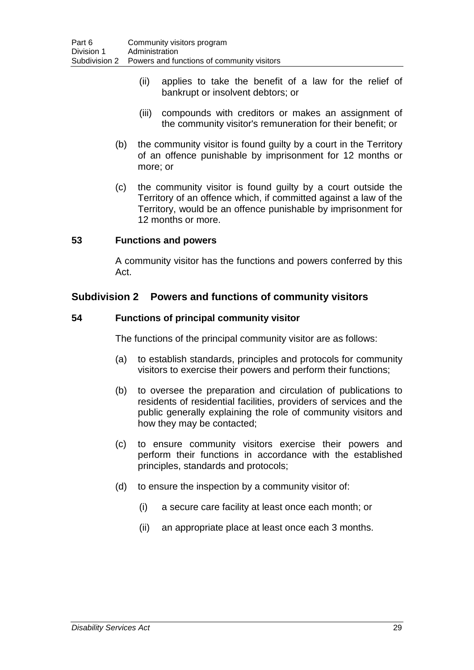- (ii) applies to take the benefit of a law for the relief of bankrupt or insolvent debtors; or
- (iii) compounds with creditors or makes an assignment of the community visitor's remuneration for their benefit; or
- (b) the community visitor is found guilty by a court in the Territory of an offence punishable by imprisonment for 12 months or more; or
- (c) the community visitor is found guilty by a court outside the Territory of an offence which, if committed against a law of the Territory, would be an offence punishable by imprisonment for 12 months or more.

#### **53 Functions and powers**

A community visitor has the functions and powers conferred by this Act.

### **Subdivision 2 Powers and functions of community visitors**

### **54 Functions of principal community visitor**

The functions of the principal community visitor are as follows:

- (a) to establish standards, principles and protocols for community visitors to exercise their powers and perform their functions;
- (b) to oversee the preparation and circulation of publications to residents of residential facilities, providers of services and the public generally explaining the role of community visitors and how they may be contacted;
- (c) to ensure community visitors exercise their powers and perform their functions in accordance with the established principles, standards and protocols;
- (d) to ensure the inspection by a community visitor of:
	- (i) a secure care facility at least once each month; or
	- (ii) an appropriate place at least once each 3 months.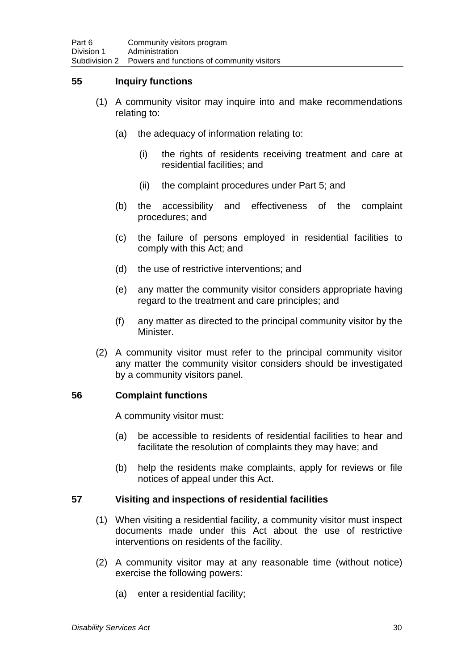### **55 Inquiry functions**

- (1) A community visitor may inquire into and make recommendations relating to:
	- (a) the adequacy of information relating to:
		- (i) the rights of residents receiving treatment and care at residential facilities; and
		- (ii) the complaint procedures under Part 5; and
	- (b) the accessibility and effectiveness of the complaint procedures; and
	- (c) the failure of persons employed in residential facilities to comply with this Act; and
	- (d) the use of restrictive interventions; and
	- (e) any matter the community visitor considers appropriate having regard to the treatment and care principles; and
	- (f) any matter as directed to the principal community visitor by the Minister.
- (2) A community visitor must refer to the principal community visitor any matter the community visitor considers should be investigated by a community visitors panel.

#### **56 Complaint functions**

A community visitor must:

- (a) be accessible to residents of residential facilities to hear and facilitate the resolution of complaints they may have; and
- (b) help the residents make complaints, apply for reviews or file notices of appeal under this Act.

### **57 Visiting and inspections of residential facilities**

- (1) When visiting a residential facility, a community visitor must inspect documents made under this Act about the use of restrictive interventions on residents of the facility.
- (2) A community visitor may at any reasonable time (without notice) exercise the following powers:
	- (a) enter a residential facility;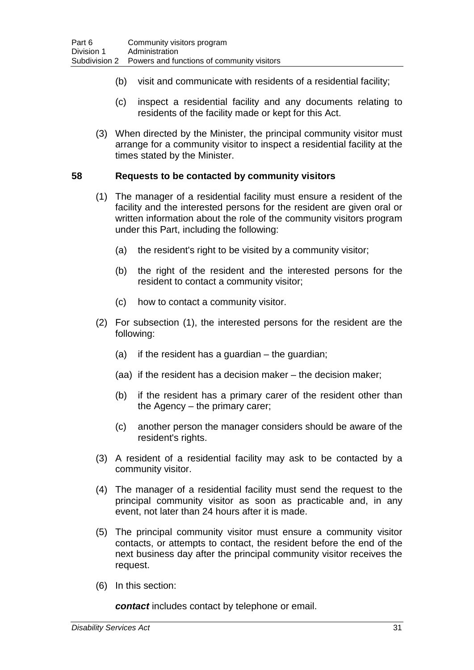- (b) visit and communicate with residents of a residential facility;
- (c) inspect a residential facility and any documents relating to residents of the facility made or kept for this Act.
- (3) When directed by the Minister, the principal community visitor must arrange for a community visitor to inspect a residential facility at the times stated by the Minister.

#### **58 Requests to be contacted by community visitors**

- (1) The manager of a residential facility must ensure a resident of the facility and the interested persons for the resident are given oral or written information about the role of the community visitors program under this Part, including the following:
	- (a) the resident's right to be visited by a community visitor;
	- (b) the right of the resident and the interested persons for the resident to contact a community visitor;
	- (c) how to contact a community visitor.
- (2) For subsection (1), the interested persons for the resident are the following:
	- (a) if the resident has a guardian the guardian;
	- (aa) if the resident has a decision maker the decision maker;
	- (b) if the resident has a primary carer of the resident other than the Agency – the primary carer;
	- (c) another person the manager considers should be aware of the resident's rights.
- (3) A resident of a residential facility may ask to be contacted by a community visitor.
- (4) The manager of a residential facility must send the request to the principal community visitor as soon as practicable and, in any event, not later than 24 hours after it is made.
- (5) The principal community visitor must ensure a community visitor contacts, or attempts to contact, the resident before the end of the next business day after the principal community visitor receives the request.
- (6) In this section:

*contact* includes contact by telephone or email.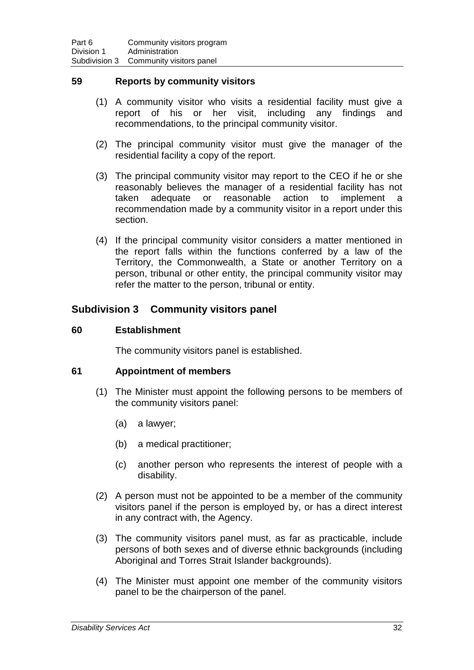#### **59 Reports by community visitors**

- (1) A community visitor who visits a residential facility must give a report of his or her visit, including any findings and recommendations, to the principal community visitor.
- (2) The principal community visitor must give the manager of the residential facility a copy of the report.
- (3) The principal community visitor may report to the CEO if he or she reasonably believes the manager of a residential facility has not taken adequate or reasonable action to implement a taken adequate or reasonable action to implement a recommendation made by a community visitor in a report under this section.
- (4) If the principal community visitor considers a matter mentioned in the report falls within the functions conferred by a law of the Territory, the Commonwealth, a State or another Territory on a person, tribunal or other entity, the principal community visitor may refer the matter to the person, tribunal or entity.

### **Subdivision 3 Community visitors panel**

### **60 Establishment**

The community visitors panel is established.

#### **61 Appointment of members**

- (1) The Minister must appoint the following persons to be members of the community visitors panel:
	- (a) a lawyer;
	- (b) a medical practitioner;
	- (c) another person who represents the interest of people with a disability.
- (2) A person must not be appointed to be a member of the community visitors panel if the person is employed by, or has a direct interest in any contract with, the Agency.
- (3) The community visitors panel must, as far as practicable, include persons of both sexes and of diverse ethnic backgrounds (including Aboriginal and Torres Strait Islander backgrounds).
- (4) The Minister must appoint one member of the community visitors panel to be the chairperson of the panel.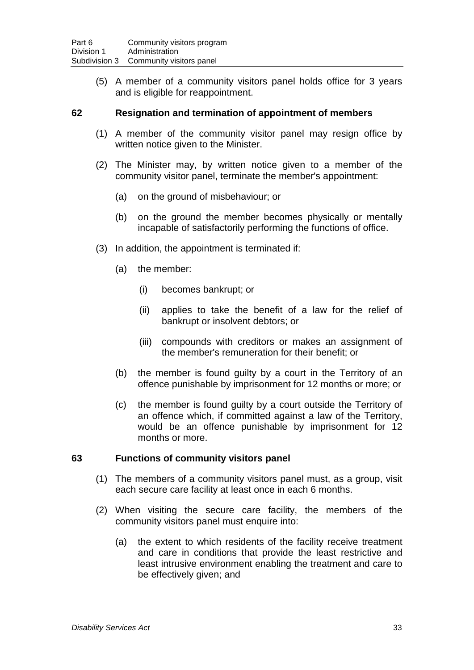(5) A member of a community visitors panel holds office for 3 years and is eligible for reappointment.

#### **62 Resignation and termination of appointment of members**

- (1) A member of the community visitor panel may resign office by written notice given to the Minister.
- (2) The Minister may, by written notice given to a member of the community visitor panel, terminate the member's appointment:
	- (a) on the ground of misbehaviour; or
	- (b) on the ground the member becomes physically or mentally incapable of satisfactorily performing the functions of office.
- (3) In addition, the appointment is terminated if:
	- (a) the member:
		- (i) becomes bankrupt; or
		- (ii) applies to take the benefit of a law for the relief of bankrupt or insolvent debtors; or
		- (iii) compounds with creditors or makes an assignment of the member's remuneration for their benefit; or
	- (b) the member is found guilty by a court in the Territory of an offence punishable by imprisonment for 12 months or more; or
	- (c) the member is found guilty by a court outside the Territory of an offence which, if committed against a law of the Territory, would be an offence punishable by imprisonment for 12 months or more.

#### **63 Functions of community visitors panel**

- (1) The members of a community visitors panel must, as a group, visit each secure care facility at least once in each 6 months.
- (2) When visiting the secure care facility, the members of the community visitors panel must enquire into:
	- (a) the extent to which residents of the facility receive treatment and care in conditions that provide the least restrictive and least intrusive environment enabling the treatment and care to be effectively given; and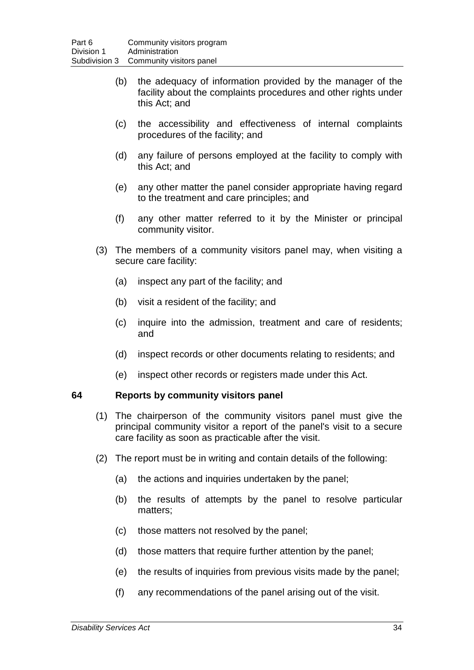- (b) the adequacy of information provided by the manager of the facility about the complaints procedures and other rights under this Act; and
- (c) the accessibility and effectiveness of internal complaints procedures of the facility; and
- (d) any failure of persons employed at the facility to comply with this Act; and
- (e) any other matter the panel consider appropriate having regard to the treatment and care principles; and
- (f) any other matter referred to it by the Minister or principal community visitor.
- (3) The members of a community visitors panel may, when visiting a secure care facility:
	- (a) inspect any part of the facility; and
	- (b) visit a resident of the facility; and
	- (c) inquire into the admission, treatment and care of residents; and
	- (d) inspect records or other documents relating to residents; and
	- (e) inspect other records or registers made under this Act.

#### **64 Reports by community visitors panel**

- (1) The chairperson of the community visitors panel must give the principal community visitor a report of the panel's visit to a secure care facility as soon as practicable after the visit.
- (2) The report must be in writing and contain details of the following:
	- (a) the actions and inquiries undertaken by the panel;
	- (b) the results of attempts by the panel to resolve particular matters;
	- (c) those matters not resolved by the panel;
	- (d) those matters that require further attention by the panel;
	- (e) the results of inquiries from previous visits made by the panel;
	- (f) any recommendations of the panel arising out of the visit.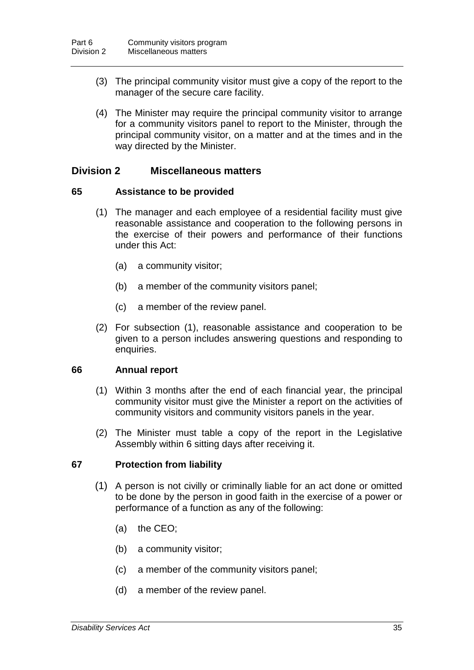- (3) The principal community visitor must give a copy of the report to the manager of the secure care facility.
- (4) The Minister may require the principal community visitor to arrange for a community visitors panel to report to the Minister, through the principal community visitor, on a matter and at the times and in the way directed by the Minister.

### **Division 2 Miscellaneous matters**

#### **65 Assistance to be provided**

- (1) The manager and each employee of a residential facility must give reasonable assistance and cooperation to the following persons in the exercise of their powers and performance of their functions under this Act:
	- (a) a community visitor;
	- (b) a member of the community visitors panel;
	- (c) a member of the review panel.
- (2) For subsection (1), reasonable assistance and cooperation to be given to a person includes answering questions and responding to enquiries.

#### **66 Annual report**

- (1) Within 3 months after the end of each financial year, the principal community visitor must give the Minister a report on the activities of community visitors and community visitors panels in the year.
- (2) The Minister must table a copy of the report in the Legislative Assembly within 6 sitting days after receiving it.

#### **67 Protection from liability**

- (1) A person is not civilly or criminally liable for an act done or omitted to be done by the person in good faith in the exercise of a power or performance of a function as any of the following:
	- (a) the CEO;
	- (b) a community visitor;
	- (c) a member of the community visitors panel;
	- (d) a member of the review panel.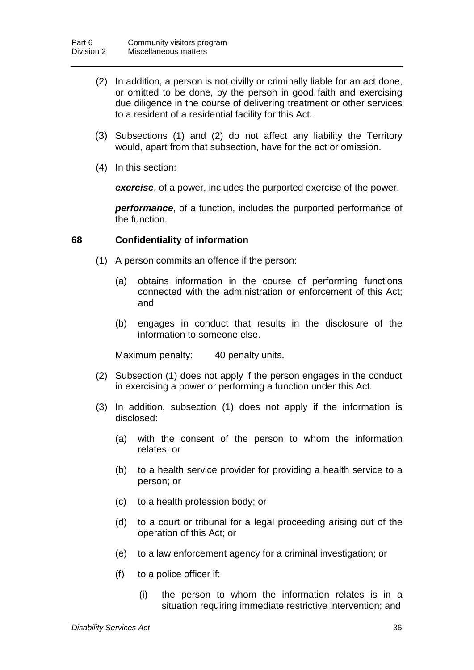- (2) In addition, a person is not civilly or criminally liable for an act done, or omitted to be done, by the person in good faith and exercising due diligence in the course of delivering treatment or other services to a resident of a residential facility for this Act.
- (3) Subsections (1) and (2) do not affect any liability the Territory would, apart from that subsection, have for the act or omission.
- (4) In this section:

*exercise*, of a power, includes the purported exercise of the power.

*performance*, of a function, includes the purported performance of the function.

#### **68 Confidentiality of information**

- (1) A person commits an offence if the person:
	- (a) obtains information in the course of performing functions connected with the administration or enforcement of this Act; and
	- (b) engages in conduct that results in the disclosure of the information to someone else.

Maximum penalty: 40 penalty units.

- (2) Subsection (1) does not apply if the person engages in the conduct in exercising a power or performing a function under this Act.
- (3) In addition, subsection (1) does not apply if the information is disclosed:
	- (a) with the consent of the person to whom the information relates; or
	- (b) to a health service provider for providing a health service to a person; or
	- (c) to a health profession body; or
	- (d) to a court or tribunal for a legal proceeding arising out of the operation of this Act; or
	- (e) to a law enforcement agency for a criminal investigation; or
	- (f) to a police officer if:
		- (i) the person to whom the information relates is in a situation requiring immediate restrictive intervention; and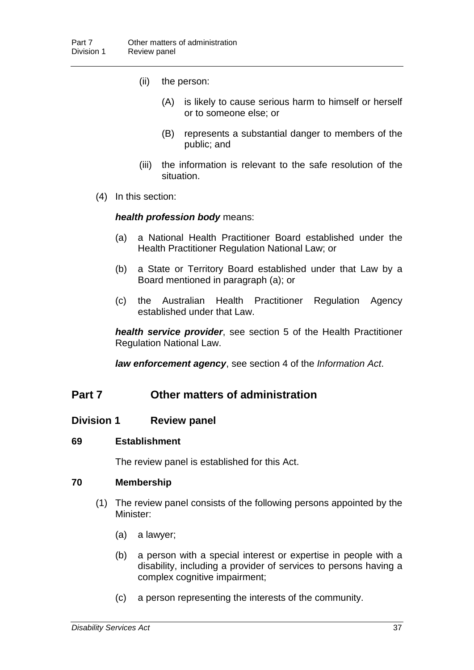- (ii) the person:
	- (A) is likely to cause serious harm to himself or herself or to someone else; or
	- (B) represents a substantial danger to members of the public; and
- (iii) the information is relevant to the safe resolution of the situation.
- (4) In this section:

#### *health profession body* means:

- (a) a National Health Practitioner Board established under the Health Practitioner Regulation National Law; or
- (b) a State or Territory Board established under that Law by a Board mentioned in paragraph (a); or
- (c) the Australian Health Practitioner Regulation Agency established under that Law.

*health service provider*, see section 5 of the Health Practitioner Regulation National Law.

*law enforcement agency*, see section 4 of the *Information Act*.

### **Part 7 Other matters of administration**

#### **Division 1 Review panel**

#### **69 Establishment**

The review panel is established for this Act.

#### **70 Membership**

- (1) The review panel consists of the following persons appointed by the Minister:
	- (a) a lawyer;
	- (b) a person with a special interest or expertise in people with a disability, including a provider of services to persons having a complex cognitive impairment;
	- (c) a person representing the interests of the community.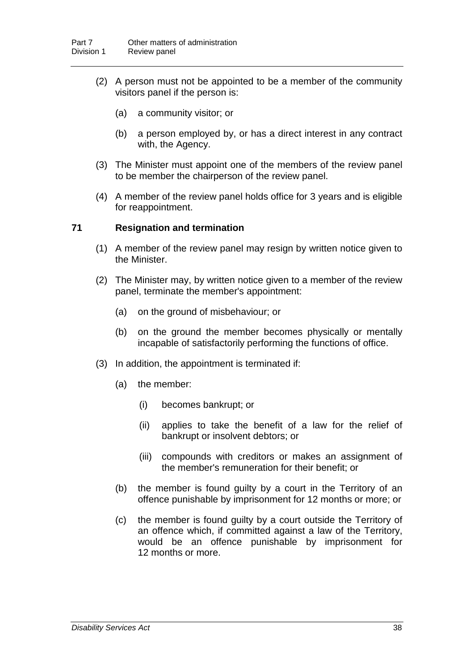- (2) A person must not be appointed to be a member of the community visitors panel if the person is:
	- (a) a community visitor; or
	- (b) a person employed by, or has a direct interest in any contract with, the Agency.
- (3) The Minister must appoint one of the members of the review panel to be member the chairperson of the review panel.
- (4) A member of the review panel holds office for 3 years and is eligible for reappointment.

#### **71 Resignation and termination**

- (1) A member of the review panel may resign by written notice given to the Minister.
- (2) The Minister may, by written notice given to a member of the review panel, terminate the member's appointment:
	- (a) on the ground of misbehaviour; or
	- (b) on the ground the member becomes physically or mentally incapable of satisfactorily performing the functions of office.
- (3) In addition, the appointment is terminated if:
	- (a) the member:
		- (i) becomes bankrupt; or
		- (ii) applies to take the benefit of a law for the relief of bankrupt or insolvent debtors; or
		- (iii) compounds with creditors or makes an assignment of the member's remuneration for their benefit; or
	- (b) the member is found guilty by a court in the Territory of an offence punishable by imprisonment for 12 months or more; or
	- (c) the member is found guilty by a court outside the Territory of an offence which, if committed against a law of the Territory, would be an offence punishable by imprisonment for 12 months or more.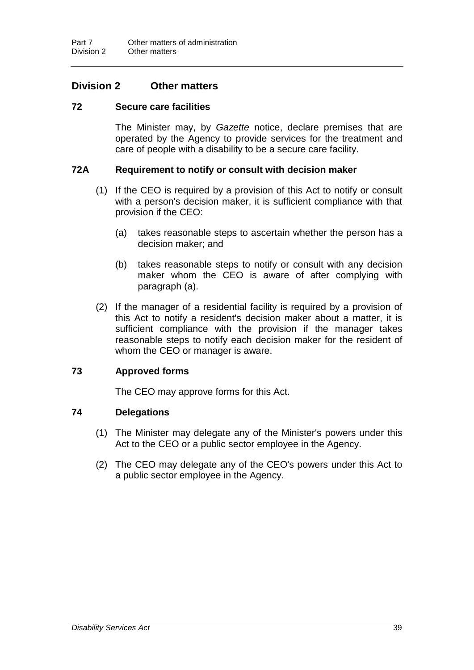### **Division 2 Other matters**

#### **72 Secure care facilities**

The Minister may, by *Gazette* notice, declare premises that are operated by the Agency to provide services for the treatment and care of people with a disability to be a secure care facility.

#### **72A Requirement to notify or consult with decision maker**

- (1) If the CEO is required by a provision of this Act to notify or consult with a person's decision maker, it is sufficient compliance with that provision if the CEO:
	- (a) takes reasonable steps to ascertain whether the person has a decision maker; and
	- (b) takes reasonable steps to notify or consult with any decision maker whom the CEO is aware of after complying with paragraph (a).
- (2) If the manager of a residential facility is required by a provision of this Act to notify a resident's decision maker about a matter, it is sufficient compliance with the provision if the manager takes reasonable steps to notify each decision maker for the resident of whom the CEO or manager is aware.

#### **73 Approved forms**

The CEO may approve forms for this Act.

#### **74 Delegations**

- (1) The Minister may delegate any of the Minister's powers under this Act to the CEO or a public sector employee in the Agency.
- (2) The CEO may delegate any of the CEO's powers under this Act to a public sector employee in the Agency.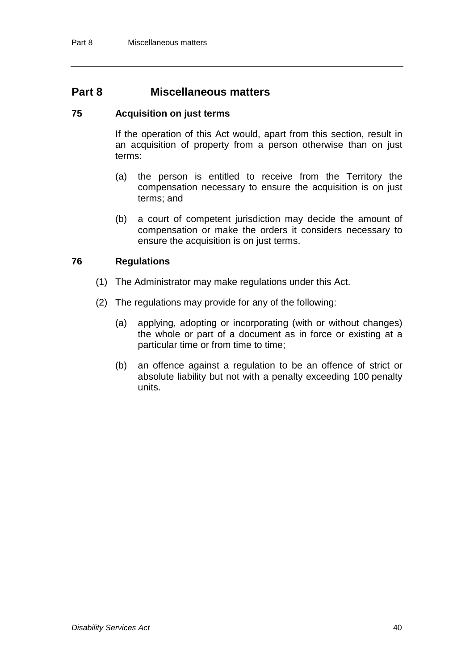### **Part 8 Miscellaneous matters**

#### **75 Acquisition on just terms**

If the operation of this Act would, apart from this section, result in an acquisition of property from a person otherwise than on just terms:

- (a) the person is entitled to receive from the Territory the compensation necessary to ensure the acquisition is on just terms; and
- (b) a court of competent jurisdiction may decide the amount of compensation or make the orders it considers necessary to ensure the acquisition is on just terms.

#### **76 Regulations**

- (1) The Administrator may make regulations under this Act.
- (2) The regulations may provide for any of the following:
	- (a) applying, adopting or incorporating (with or without changes) the whole or part of a document as in force or existing at a particular time or from time to time;
	- (b) an offence against a regulation to be an offence of strict or absolute liability but not with a penalty exceeding 100 penalty units.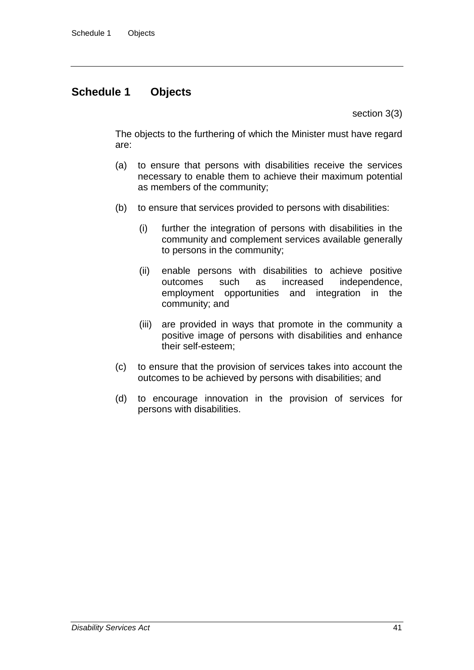## **Schedule 1 Objects**

section 3(3)

The objects to the furthering of which the Minister must have regard are:

- (a) to ensure that persons with disabilities receive the services necessary to enable them to achieve their maximum potential as members of the community;
- (b) to ensure that services provided to persons with disabilities:
	- (i) further the integration of persons with disabilities in the community and complement services available generally to persons in the community;
	- (ii) enable persons with disabilities to achieve positive outcomes such as increased independence, employment opportunities and integration in the community; and
	- (iii) are provided in ways that promote in the community a positive image of persons with disabilities and enhance their self-esteem;
- (c) to ensure that the provision of services takes into account the outcomes to be achieved by persons with disabilities; and
- (d) to encourage innovation in the provision of services for persons with disabilities.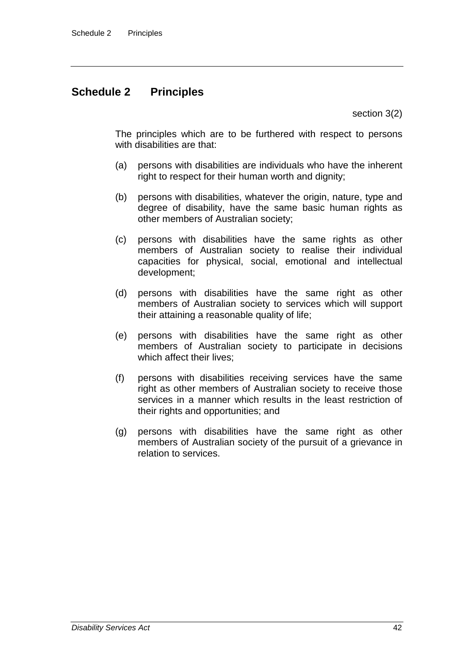# **Schedule 2 Principles**

section 3(2)

The principles which are to be furthered with respect to persons with disabilities are that:

- (a) persons with disabilities are individuals who have the inherent right to respect for their human worth and dignity;
- (b) persons with disabilities, whatever the origin, nature, type and degree of disability, have the same basic human rights as other members of Australian society;
- (c) persons with disabilities have the same rights as other members of Australian society to realise their individual capacities for physical, social, emotional and intellectual development;
- (d) persons with disabilities have the same right as other members of Australian society to services which will support their attaining a reasonable quality of life;
- (e) persons with disabilities have the same right as other members of Australian society to participate in decisions which affect their lives:
- (f) persons with disabilities receiving services have the same right as other members of Australian society to receive those services in a manner which results in the least restriction of their rights and opportunities; and
- (g) persons with disabilities have the same right as other members of Australian society of the pursuit of a grievance in relation to services.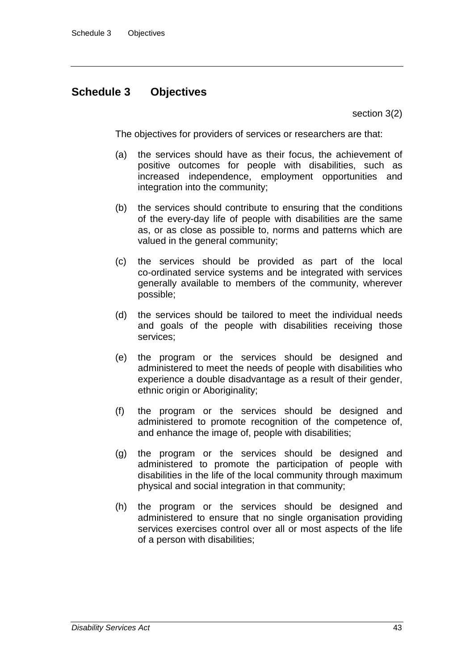# **Schedule 3 Objectives**

section 3(2)

The objectives for providers of services or researchers are that:

- (a) the services should have as their focus, the achievement of positive outcomes for people with disabilities, such as increased independence, employment opportunities and integration into the community;
- (b) the services should contribute to ensuring that the conditions of the every-day life of people with disabilities are the same as, or as close as possible to, norms and patterns which are valued in the general community;
- (c) the services should be provided as part of the local co-ordinated service systems and be integrated with services generally available to members of the community, wherever possible;
- (d) the services should be tailored to meet the individual needs and goals of the people with disabilities receiving those services;
- (e) the program or the services should be designed and administered to meet the needs of people with disabilities who experience a double disadvantage as a result of their gender, ethnic origin or Aboriginality;
- (f) the program or the services should be designed and administered to promote recognition of the competence of, and enhance the image of, people with disabilities;
- (g) the program or the services should be designed and administered to promote the participation of people with disabilities in the life of the local community through maximum physical and social integration in that community;
- (h) the program or the services should be designed and administered to ensure that no single organisation providing services exercises control over all or most aspects of the life of a person with disabilities;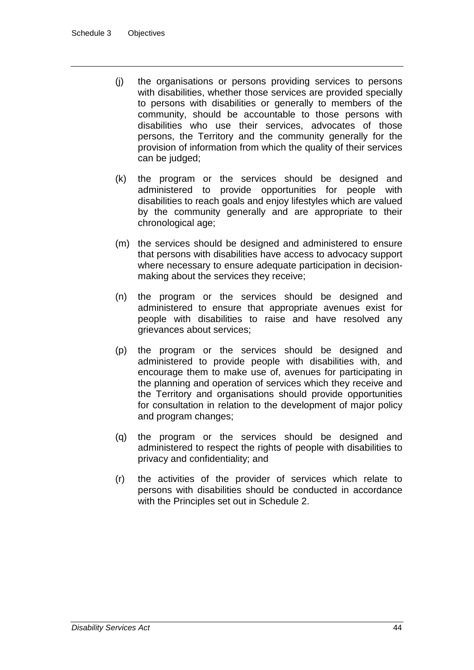- (j) the organisations or persons providing services to persons with disabilities, whether those services are provided specially to persons with disabilities or generally to members of the community, should be accountable to those persons with disabilities who use their services, advocates of those persons, the Territory and the community generally for the provision of information from which the quality of their services can be judged;
- (k) the program or the services should be designed and administered to provide opportunities for people with disabilities to reach goals and enjoy lifestyles which are valued by the community generally and are appropriate to their chronological age;
- (m) the services should be designed and administered to ensure that persons with disabilities have access to advocacy support where necessary to ensure adequate participation in decisionmaking about the services they receive;
- (n) the program or the services should be designed and administered to ensure that appropriate avenues exist for people with disabilities to raise and have resolved any grievances about services;
- (p) the program or the services should be designed and administered to provide people with disabilities with, and encourage them to make use of, avenues for participating in the planning and operation of services which they receive and the Territory and organisations should provide opportunities for consultation in relation to the development of major policy and program changes;
- (q) the program or the services should be designed and administered to respect the rights of people with disabilities to privacy and confidentiality; and
- (r) the activities of the provider of services which relate to persons with disabilities should be conducted in accordance with the Principles set out in Schedule 2.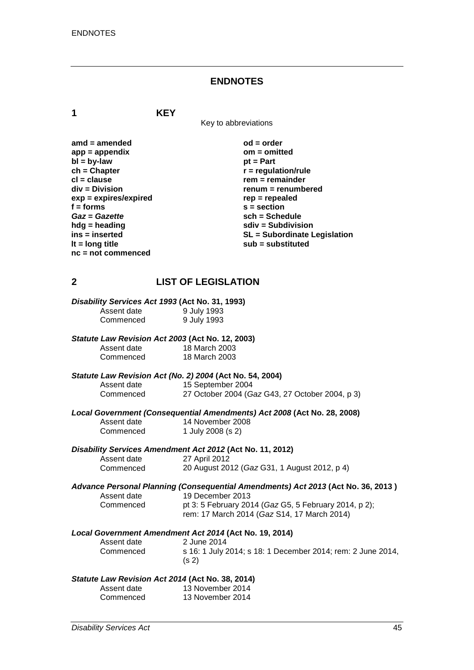#### **ENDNOTES**

**1 KEY**

Key to abbreviations

**amd = amended od = order** app = appendix<br>bl = by-law **bl = by-law** pt = Part **bl** = by-law<br> **ch** = Chapter **ch = Chapter**<br> **cl** = clause **r** = regulation/rule<br> **r** = remainder **cl = clause rem = remainder**  $exp = expires/expired$ <br>**f** = forms **f** = forms **s** = section<br> *Gaz* = Gazette **section**<br> **sch** = Sche *Gaz* = *Gazette* **sch** = Schedule<br>
hda = heading<br> **sch** = Subdivision **hdg = heading sdiv = Subdivision nc = not commenced**

**renum = renumbered**<br>rep = repealed **ins = inserted SL = Subordinate Legislation lt = long title sub = substituted**

### **2 LIST OF LEGISLATION**

| Disability Services Act 1993 (Act No. 31, 1993) |             |
|-------------------------------------------------|-------------|
| Assent date                                     | 9 July 1993 |
| Commenced                                       | 9 July 1993 |

#### *Statute Law Revision Act 2003* **(Act No. 12, 2003)**

Assent date 18 March 2003<br>Commenced 18 March 2003 18 March 2003

# *Statute Law Revision Act (No. 2) 2004* **(Act No. 54, 2004)**

Assent date 15 September 2004<br>Commenced 27 October 2004 (G 27 October 2004 (*Gaz* G43, 27 October 2004, p 3)

*Local Government (Consequential Amendments) Act 2008* **(Act No. 28, 2008)**

Assent date 14 November 2008<br>Commenced 1 July 2008 (s 2) 1 July 2008 (s 2)

# *Disability Services Amendment Act 2012* **(Act No. 11, 2012)**

Assent date 27 April 2012<br>Commenced 20 August 20 20 August 2012 (*Gaz* G31, 1 August 2012, p 4)

*Advance Personal Planning (Consequential Amendments) Act 2013* **(Act No. 36, 2013 )** Assent date 19 December 2013<br>Commenced bt 3: 5 February 20 pt 3: 5 February 2014 (*Gaz* G5, 5 February 2014, p 2);

rem: 17 March 2014 (*Gaz* S14, 17 March 2014)

# *Local Government Amendment Act 2014* **(Act No. 19, 2014)**

2 June 2014 Commenced s 16: 1 July 2014; s 18: 1 December 2014; rem: 2 June 2014, (s 2)

#### *Statute Law Revision Act 2014* **(Act No. 38, 2014)**

| Assent date | 13 November 2014 |
|-------------|------------------|
| Commenced   | 13 November 2014 |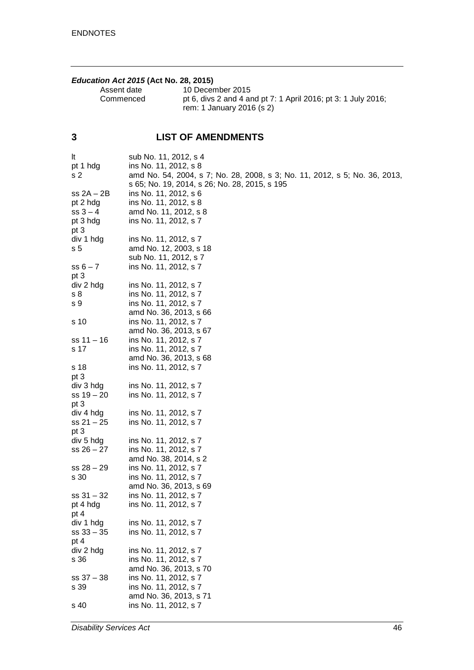### *Education Act 2015* **(Act No. 28, 2015)**

| Assent date | 10 December 2015                                                                           |
|-------------|--------------------------------------------------------------------------------------------|
| Commenced   | pt 6, divs 2 and 4 and pt 7: 1 April 2016; pt 3: 1 July 2016;<br>rem: 1 January 2016 (s 2) |
|             |                                                                                            |

# **3 LIST OF AMENDMENTS**

| It             | sub No. 11, 2012, s 4                                                      |
|----------------|----------------------------------------------------------------------------|
| pt 1 hdg       | ins No. 11, 2012, s 8                                                      |
| s <sub>2</sub> | amd No. 54, 2004, s 7; No. 28, 2008, s 3; No. 11, 2012, s 5; No. 36, 2013, |
|                | s 65; No. 19, 2014, s 26; No. 28, 2015, s 195                              |
| $ss 2A - 2B$   | ins No. 11, 2012, s 6                                                      |
| pt 2 hdg       | ins No. 11, 2012, s 8                                                      |
| $ss 3 - 4$     | amd No. 11, 2012, s 8                                                      |
| pt 3 hdg       | ins No. 11, 2012, s 7                                                      |
| pt 3           |                                                                            |
| div 1 hdg      | ins No. 11, 2012, s 7                                                      |
| s 5            | amd No. 12, 2003, s 18                                                     |
|                | sub No. 11, 2012, s 7                                                      |
| $ss 6 - 7$     | ins No. 11, 2012, s 7                                                      |
| pt 3           |                                                                            |
| div 2 hdg      | ins No. 11, 2012, s 7                                                      |
| s 8            | ins No. 11, 2012, s 7                                                      |
| s 9            | ins No. 11, 2012, s 7                                                      |
|                | amd No. 36, 2013, s 66                                                     |
| s 10           | ins No. 11, 2012, s 7                                                      |
|                | amd No. 36, 2013, s 67                                                     |
| $ss 11 - 16$   | ins No. 11, 2012, s 7                                                      |
| s 17           | ins No. 11, 2012, s 7                                                      |
|                | amd No. 36, 2013, s 68                                                     |
| s 18           | ins No. 11, 2012, s 7                                                      |
| pt 3           |                                                                            |
| div 3 hdg      | ins No. 11, 2012, s 7                                                      |
| $ss 19 - 20$   | ins No. 11, 2012, s 7                                                      |
| pt 3           |                                                                            |
| div 4 hdg      | ins No. 11, 2012, s 7                                                      |
| $ss 21 - 25$   | ins No. 11, 2012, s 7                                                      |
| pt 3           |                                                                            |
| div 5 hdg      | ins No. 11, 2012, s 7                                                      |
| $ss 26 - 27$   | ins No. 11, 2012, s 7                                                      |
|                | amd No. 38, 2014, s 2                                                      |
| $ss 28 - 29$   | ins No. 11, 2012, s 7                                                      |
| s 30           | ins No. 11, 2012, s 7                                                      |
|                | amd No. 36, 2013, s 69                                                     |
| $ss 31 - 32$   | ins No. 11, 2012, s 7                                                      |
| pt 4 hdg       | ins No. 11, 2012, s 7                                                      |
| pt 4           |                                                                            |
| div 1 hdg      | ins No. 11, 2012, s 7                                                      |
| $ss 33 - 35$   | ins No. 11, 2012, s 7                                                      |
| pt 4           |                                                                            |
| div 2 hdg      | ins No. 11, 2012, s 7                                                      |
| s 36           | ins No. 11, 2012, s 7                                                      |
|                | amd No. 36, 2013, s 70                                                     |
| $ss 37 - 38$   | ins No. 11, 2012, s 7                                                      |
| s 39           | ins No. 11, 2012, s 7                                                      |
|                | amd No. 36, 2013, s 71                                                     |
| s 40           | ins No. 11, 2012, s 7                                                      |
|                |                                                                            |